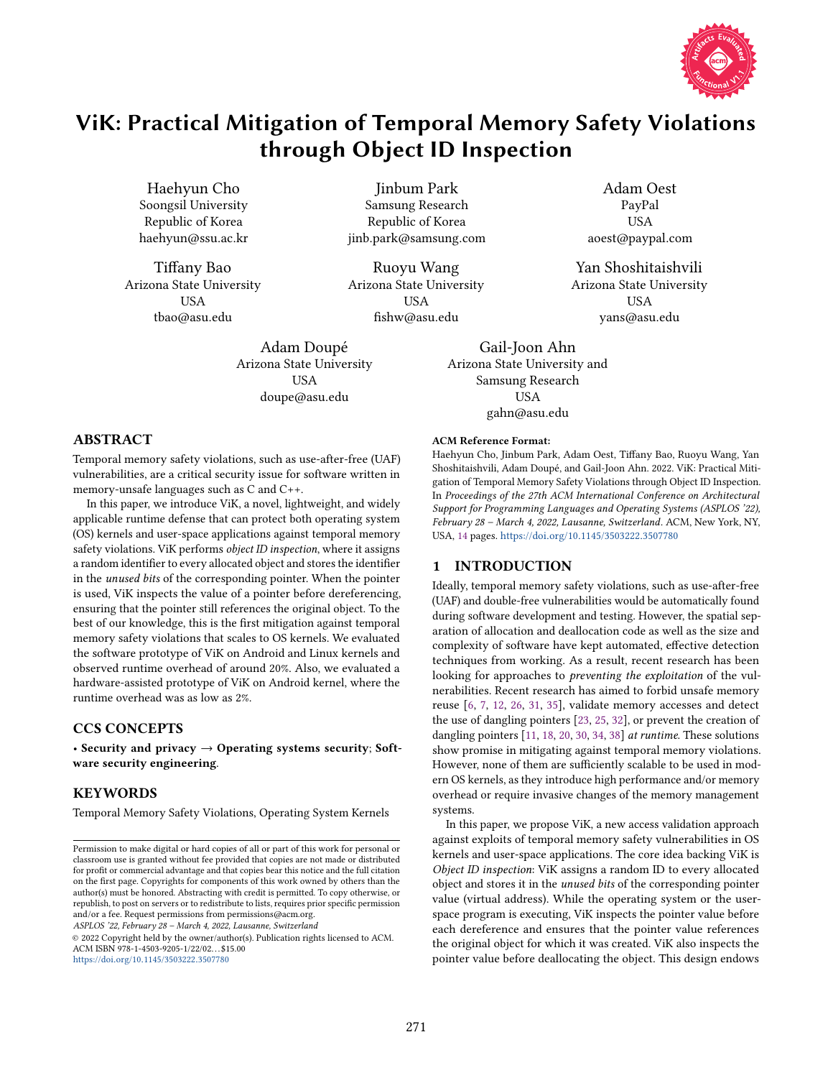

# ViK: Practical Mitigation of Temporal Memory Safety Violations through Object ID Inspection

Haehyun Cho Soongsil University Republic of Korea haehyun@ssu.ac.kr

Tiffany Bao Arizona State University USA tbao@asu.edu

Jinbum Park Samsung Research Republic of Korea jinb.park@samsung.com

Ruoyu Wang Arizona State University USA fishw@asu.edu

Adam Doupé Arizona State University USA doupe@asu.edu

Adam Oest PayPal USA aoest@paypal.com

Yan Shoshitaishvili Arizona State University USA yans@asu.edu

Gail-Joon Ahn Arizona State University and Samsung Research USA gahn@asu.edu

# ABSTRACT

Temporal memory safety violations, such as use-after-free (UAF) vulnerabilities, are a critical security issue for software written in memory-unsafe languages such as C and C++.

In this paper, we introduce ViK, a novel, lightweight, and widely applicable runtime defense that can protect both operating system (OS) kernels and user-space applications against temporal memory safety violations. ViK performs object ID inspection, where it assigns a random identifier to every allocated object and stores the identifier in the unused bits of the corresponding pointer. When the pointer is used, ViK inspects the value of a pointer before dereferencing, ensuring that the pointer still references the original object. To the best of our knowledge, this is the first mitigation against temporal memory safety violations that scales to OS kernels. We evaluated the software prototype of ViK on Android and Linux kernels and observed runtime overhead of around 20%. Also, we evaluated a hardware-assisted prototype of ViK on Android kernel, where the runtime overhead was as low as 2%.

# CCS CONCEPTS

· Security and privacy → Operating systems security; Software security engineering.

# KEYWORDS

Temporal Memory Safety Violations, Operating System Kernels

ASPLOS '22, February 28 - March 4, 2022, Lausanne, Switzerland

© 2022 Copyright held by the owner/author(s). Publication rights licensed to ACM. ACM ISBN 978-1-4503-9205-1/22/02. . . \$15.00 https://doi.org/10.[1145/3503222](https://doi.org/10.1145/3503222.3507780).3507780

#### ACM Reference Format:

Haehyun Cho, Jinbum Park, Adam Oest, Tiffany Bao, Ruoyu Wang, Yan Shoshitaishvili, Adam Doupé, and Gail-Joon Ahn. 2022. ViK: Practical Mitigation of Temporal Memory Safety Violations through Object ID Inspection. In Proceedings of the 27th ACM International Conference on Architectural Support for Programming Languages and Operating Systems (ASPLOS '22), February 28 - March 4, 2022, Lausanne, Switzerland. ACM, New York, NY, USA, [14](#page-13-0) pages. https://doi.org/10.[1145/3503222](https://doi.org/10.1145/3503222.3507780).3507780

## 1 INTRODUCTION

Ideally, temporal memory safety violations, such as use-after-free (UAF) and double-free vulnerabilities would be automatically found during software development and testing. However, the spatial separation of allocation and deallocation code as well as the size and complexity of software have kept automated, effective detection techniques from working. As a result, recent research has been looking for approaches to preventing the exploitation of the vulnerabilities. Recent research has aimed to forbid unsafe memory reuse [\[6,](#page-12-0) [7,](#page-12-1) [12,](#page-12-2) [26,](#page-13-1) [31,](#page-13-2) [35\]](#page-13-3), validate memory accesses and detect the use of dangling pointers [\[23,](#page-13-4) [25,](#page-13-5) [32\]](#page-13-6), or prevent the creation of dangling pointers [\[11,](#page-12-3) [18,](#page-12-4) [20,](#page-12-5) [30,](#page-13-7) [34,](#page-13-8) [38\]](#page-13-9) at runtime. These solutions show promise in mitigating against temporal memory violations. However, none of them are sufficiently scalable to be used in modern OS kernels, as they introduce high performance and/or memory overhead or require invasive changes of the memory management systems.

In this paper, we propose ViK, a new access validation approach against exploits of temporal memory safety vulnerabilities in OS kernels and user-space applications. The core idea backing ViK is Object ID inspection: ViK assigns a random ID to every allocated object and stores it in the unused bits of the corresponding pointer value (virtual address). While the operating system or the userspace program is executing, ViK inspects the pointer value before each dereference and ensures that the pointer value references the original object for which it was created. ViK also inspects the pointer value before deallocating the object. This design endows

Permission to make digital or hard copies of all or part of this work for personal or classroom use is granted without fee provided that copies are not made or distributed for profit or commercial advantage and that copies bear this notice and the full citation on the first page. Copyrights for components of this work owned by others than the author(s) must be honored. Abstracting with credit is permitted. To copy otherwise, or republish, to post on servers or to redistribute to lists, requires prior specific permission and/or a fee. Request permissions from permissions@acm.org.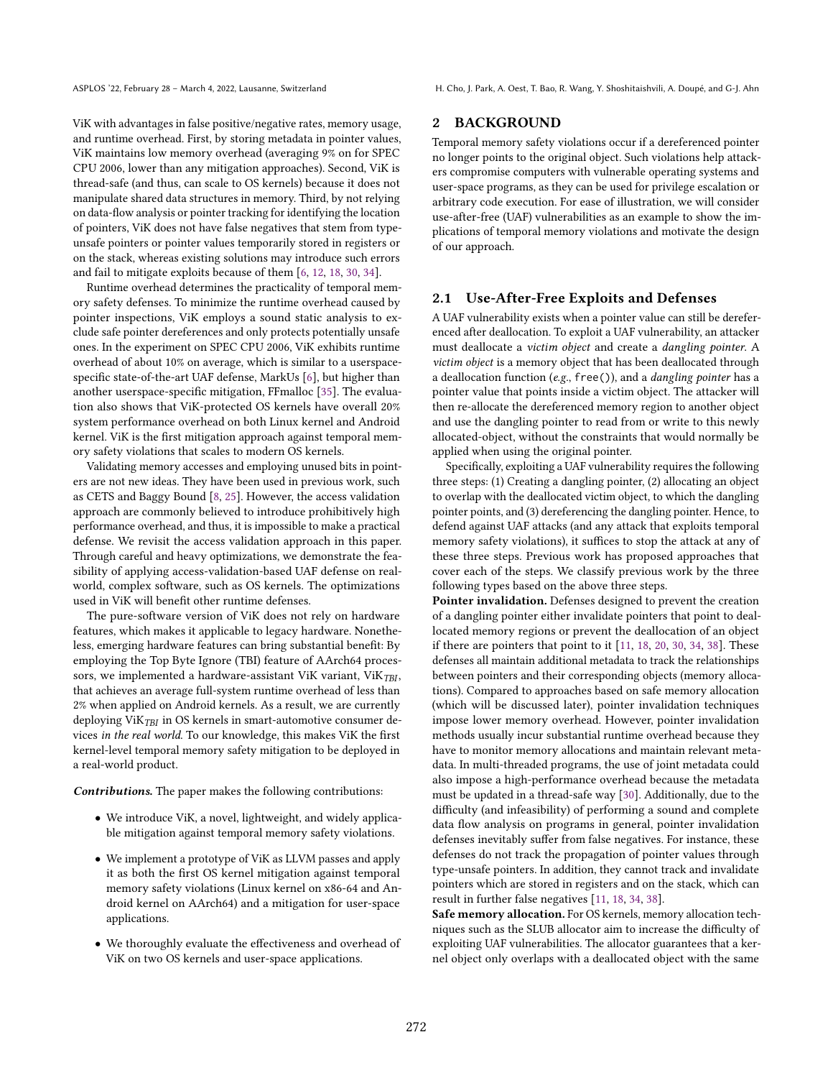ASPLOS '22, February 28 - March 4, 2022, Lausanne, Switzerland H. Cho, J. Park, A. Oest, T. Bao, R. Wang, Y. Shoshitaishvili, A. Doupé, and G-J. Ahn

ViK with advantages in false positive/negative rates, memory usage, and runtime overhead. First, by storing metadata in pointer values, ViK maintains low memory overhead (averaging 9% on for SPEC CPU 2006, lower than any mitigation approaches). Second, ViK is thread-safe (and thus, can scale to OS kernels) because it does not manipulate shared data structures in memory. Third, by not relying on data-flow analysis or pointer tracking for identifying the location of pointers, ViK does not have false negatives that stem from typeunsafe pointers or pointer values temporarily stored in registers or on the stack, whereas existing solutions may introduce such errors and fail to mitigate exploits because of them [\[6,](#page-12-0) [12,](#page-12-2) [18,](#page-12-4) [30,](#page-13-7) [34\]](#page-13-8).

Runtime overhead determines the practicality of temporal memory safety defenses. To minimize the runtime overhead caused by pointer inspections, ViK employs a sound static analysis to exclude safe pointer dereferences and only protects potentially unsafe ones. In the experiment on SPEC CPU 2006, ViK exhibits runtime overhead of about 10% on average, which is similar to a userspacespecific state-of-the-art UAF defense, MarkUs [\[6\]](#page-12-0), but higher than another userspace-specific mitigation, FFmalloc [\[35\]](#page-13-3). The evaluation also shows that ViK-protected OS kernels have overall 20% system performance overhead on both Linux kernel and Android kernel. ViK is the first mitigation approach against temporal memory safety violations that scales to modern OS kernels.

Validating memory accesses and employing unused bits in pointers are not new ideas. They have been used in previous work, such as CETS and Baggy Bound [\[8,](#page-12-6) [25\]](#page-13-5). However, the access validation approach are commonly believed to introduce prohibitively high performance overhead, and thus, it is impossible to make a practical defense. We revisit the access validation approach in this paper. Through careful and heavy optimizations, we demonstrate the feasibility of applying access-validation-based UAF defense on realworld, complex software, such as OS kernels. The optimizations used in ViK will benefit other runtime defenses.

The pure-software version of ViK does not rely on hardware features, which makes it applicable to legacy hardware. Nonetheless, emerging hardware features can bring substantial benefit: By employing the Top Byte Ignore (TBI) feature of AArch64 processors, we implemented a hardware-assistant ViK variant, ViK $_{TBI}$ , that achieves an average full-system runtime overhead of less than 2% when applied on Android kernels. As a result, we are currently deploying ViK $_{TBI}$  in OS kernels in smart-automotive consumer devices in the real world. To our knowledge, this makes ViK the first kernel-level temporal memory safety mitigation to be deployed in a real-world product.

Contributions. The paper makes the following contributions:

- We introduce ViK, a novel, lightweight, and widely applicable mitigation against temporal memory safety violations.
- We implement a prototype of ViK as LLVM passes and apply it as both the first OS kernel mitigation against temporal memory safety violations (Linux kernel on x86-64 and Android kernel on AArch64) and a mitigation for user-space applications.
- We thoroughly evaluate the effectiveness and overhead of ViK on two OS kernels and user-space applications.

# 2 BACKGROUND

Temporal memory safety violations occur if a dereferenced pointer no longer points to the original object. Such violations help attackers compromise computers with vulnerable operating systems and user-space programs, as they can be used for privilege escalation or arbitrary code execution. For ease of illustration, we will consider use-after-free (UAF) vulnerabilities as an example to show the implications of temporal memory violations and motivate the design of our approach.

# 2.1 Use-After-Free Exploits and Defenses

A UAF vulnerability exists when a pointer value can still be dereferenced after deallocation. To exploit a UAF vulnerability, an attacker must deallocate a victim object and create a dangling pointer. A victim object is a memory object that has been deallocated through a deallocation function (e.g., free()), and a dangling pointer has a pointer value that points inside a victim object. The attacker will then re-allocate the dereferenced memory region to another object and use the dangling pointer to read from or write to this newly allocated-object, without the constraints that would normally be applied when using the original pointer.

Specifically, exploiting a UAF vulnerability requires the following three steps: (1) Creating a dangling pointer, (2) allocating an object to overlap with the deallocated victim object, to which the dangling pointer points, and (3) dereferencing the dangling pointer. Hence, to defend against UAF attacks (and any attack that exploits temporal memory safety violations), it suffices to stop the attack at any of these three steps. Previous work has proposed approaches that cover each of the steps. We classify previous work by the three following types based on the above three steps.

Pointer invalidation. Defenses designed to prevent the creation of a dangling pointer either invalidate pointers that point to deallocated memory regions or prevent the deallocation of an object if there are pointers that point to it [\[11,](#page-12-3) [18,](#page-12-4) [20,](#page-12-5) [30,](#page-13-7) [34,](#page-13-8) [38\]](#page-13-9). These defenses all maintain additional metadata to track the relationships between pointers and their corresponding objects (memory allocations). Compared to approaches based on safe memory allocation (which will be discussed later), pointer invalidation techniques impose lower memory overhead. However, pointer invalidation methods usually incur substantial runtime overhead because they have to monitor memory allocations and maintain relevant metadata. In multi-threaded programs, the use of joint metadata could also impose a high-performance overhead because the metadata must be updated in a thread-safe way [\[30\]](#page-13-7). Additionally, due to the difficulty (and infeasibility) of performing a sound and complete data flow analysis on programs in general, pointer invalidation defenses inevitably suffer from false negatives. For instance, these defenses do not track the propagation of pointer values through type-unsafe pointers. In addition, they cannot track and invalidate pointers which are stored in registers and on the stack, which can result in further false negatives [\[11,](#page-12-3) [18,](#page-12-4) [34,](#page-13-8) [38\]](#page-13-9).

Safe memory allocation. For OS kernels, memory allocation techniques such as the SLUB allocator aim to increase the difficulty of exploiting UAF vulnerabilities. The allocator guarantees that a kernel object only overlaps with a deallocated object with the same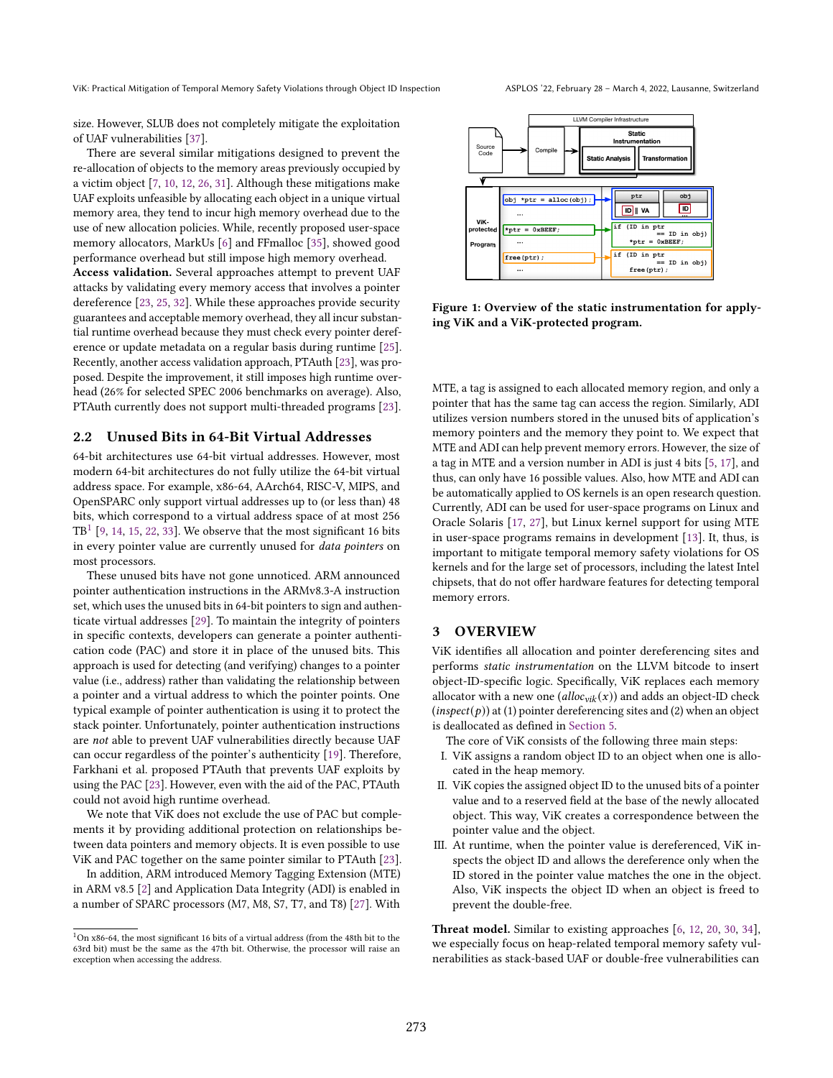size. However, SLUB does not completely mitigate the exploitation of UAF vulnerabilities [\[37\]](#page-13-10).

There are several similar mitigations designed to prevent the re-allocation of objects to the memory areas previously occupied by a victim object [\[7,](#page-12-1) [10,](#page-12-7) [12,](#page-12-2) [26,](#page-13-1) [31\]](#page-13-2). Although these mitigations make UAF exploits unfeasible by allocating each object in a unique virtual memory area, they tend to incur high memory overhead due to the use of new allocation policies. While, recently proposed user-space memory allocators, MarkUs [\[6\]](#page-12-0) and FFmalloc [\[35\]](#page-13-3), showed good performance overhead but still impose high memory overhead.

Access validation. Several approaches attempt to prevent UAF attacks by validating every memory access that involves a pointer dereference [\[23,](#page-13-4) [25,](#page-13-5) [32\]](#page-13-6). While these approaches provide security guarantees and acceptable memory overhead, they all incur substantial runtime overhead because they must check every pointer dereference or update metadata on a regular basis during runtime [\[25\]](#page-13-5). Recently, another access validation approach, PTAuth [\[23\]](#page-13-4), was proposed. Despite the improvement, it still imposes high runtime overhead (26% for selected SPEC 2006 benchmarks on average). Also, PTAuth currently does not support multi-threaded programs [\[23\]](#page-13-4).

#### 2.2 Unused Bits in 64-Bit Virtual Addresses

64-bit architectures use 64-bit virtual addresses. However, most modern 64-bit architectures do not fully utilize the 64-bit virtual address space. For example, x86-64, AArch64, RISC-V, MIPS, and OpenSPARC only support virtual addresses up to (or less than) 48 bits, which correspond to a virtual address space of at most 256  $TB<sup>1</sup>$  $TB<sup>1</sup>$  $TB<sup>1</sup>$  [\[9,](#page-12-8) [14,](#page-12-9) [15,](#page-12-10) [22,](#page-13-11) [33\]](#page-13-12). We observe that the most significant 16 bits in every pointer value are currently unused for data pointers on most processors.

These unused bits have not gone unnoticed. ARM announced pointer authentication instructions in the ARMv8.3-A instruction set, which uses the unused bits in 64-bit pointers to sign and authenticate virtual addresses [\[29\]](#page-13-13). To maintain the integrity of pointers in specific contexts, developers can generate a pointer authentication code (PAC) and store it in place of the unused bits. This approach is used for detecting (and verifying) changes to a pointer value (i.e., address) rather than validating the relationship between a pointer and a virtual address to which the pointer points. One typical example of pointer authentication is using it to protect the stack pointer. Unfortunately, pointer authentication instructions are not able to prevent UAF vulnerabilities directly because UAF can occur regardless of the pointer's authenticity [\[19\]](#page-12-11). Therefore, Farkhani et al. proposed PTAuth that prevents UAF exploits by using the PAC [\[23\]](#page-13-4). However, even with the aid of the PAC, PTAuth could not avoid high runtime overhead.

We note that ViK does not exclude the use of PAC but complements it by providing additional protection on relationships between data pointers and memory objects. It is even possible to use ViK and PAC together on the same pointer similar to PTAuth [\[23\]](#page-13-4).

In addition, ARM introduced Memory Tagging Extension (MTE) in ARM v8.5 [\[2\]](#page-12-12) and Application Data Integrity (ADI) is enabled in a number of SPARC processors (M7, M8, S7, T7, and T8) [\[27\]](#page-13-14). With



Figure 1: Overview of the static instrumentation for applying ViK and a ViK-protected program.

MTE, a tag is assigned to each allocated memory region, and only a pointer that has the same tag can access the region. Similarly, ADI utilizes version numbers stored in the unused bits of application's memory pointers and the memory they point to. We expect that MTE and ADI can help prevent memory errors. However, the size of a tag in MTE and a version number in ADI is just 4 bits [\[5,](#page-12-13) [17\]](#page-12-14), and thus, can only have 16 possible values. Also, how MTE and ADI can be automatically applied to OS kernels is an open research question. Currently, ADI can be used for user-space programs on Linux and Oracle Solaris [\[17,](#page-12-14) [27\]](#page-13-14), but Linux kernel support for using MTE in user-space programs remains in development [\[13\]](#page-12-15). It, thus, is important to mitigate temporal memory safety violations for OS kernels and for the large set of processors, including the latest Intel chipsets, that do not offer hardware features for detecting temporal memory errors.

## <span id="page-2-1"></span>3 OVERVIEW

ViK identifies all allocation and pointer dereferencing sites and performs static instrumentation on the LLVM bitcode to insert object-ID-specific logic. Specifically, ViK replaces each memory allocator with a new one (alloc<sub>vik</sub> $(x)$ ) and adds an object-ID check  $(inspect(p))$  at (1) pointer dereferencing sites and (2) when an object is deallocated as defined in [Section 5.](#page-4-0)

The core of ViK consists of the following three main steps:

- I. ViK assigns a random object ID to an object when one is allocated in the heap memory.
- II. ViK copies the assigned object ID to the unused bits of a pointer value and to a reserved field at the base of the newly allocated object. This way, ViK creates a correspondence between the pointer value and the object.
- III. At runtime, when the pointer value is dereferenced, ViK inspects the object ID and allows the dereference only when the ID stored in the pointer value matches the one in the object. Also, ViK inspects the object ID when an object is freed to prevent the double-free.

Threat model. Similar to existing approaches [\[6,](#page-12-0) [12,](#page-12-2) [20,](#page-12-5) [30,](#page-13-7) [34\]](#page-13-8), we especially focus on heap-related temporal memory safety vulnerabilities as stack-based UAF or double-free vulnerabilities can

<span id="page-2-0"></span> $1$ On x86-64, the most significant 16 bits of a virtual address (from the 48th bit to the 63rd bit) must be the same as the 47th bit. Otherwise, the processor will raise an exception when accessing the address.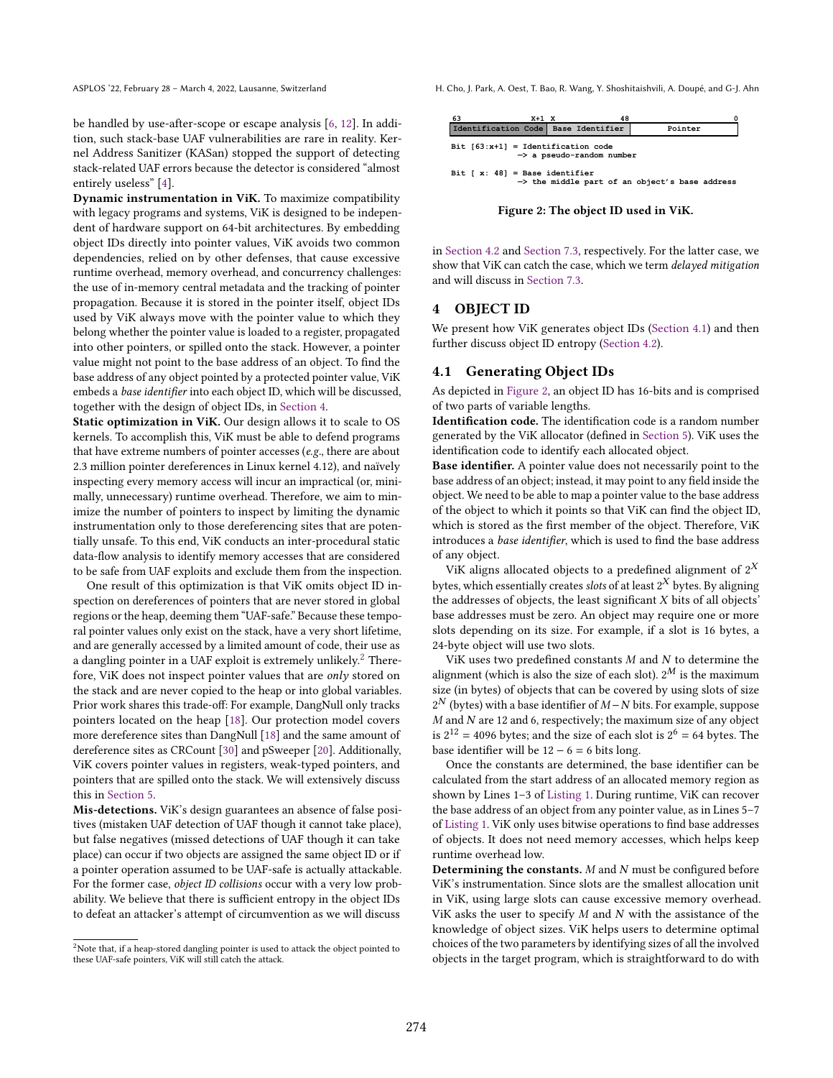be handled by use-after-scope or escape analysis [\[6,](#page-12-0) [12\]](#page-12-2). In addition, such stack-base UAF vulnerabilities are rare in reality. Kernel Address Sanitizer (KASan) stopped the support of detecting stack-related UAF errors because the detector is considered "almost entirely useless" [\[4\]](#page-12-16).

Dynamic instrumentation in ViK. To maximize compatibility with legacy programs and systems, ViK is designed to be independent of hardware support on 64-bit architectures. By embedding object IDs directly into pointer values, ViK avoids two common dependencies, relied on by other defenses, that cause excessive runtime overhead, memory overhead, and concurrency challenges: the use of in-memory central metadata and the tracking of pointer propagation. Because it is stored in the pointer itself, object IDs used by ViK always move with the pointer value to which they belong whether the pointer value is loaded to a register, propagated into other pointers, or spilled onto the stack. However, a pointer value might not point to the base address of an object. To find the base address of any object pointed by a protected pointer value, ViK embeds a base identifier into each object ID, which will be discussed, together with the design of object IDs, in [Section 4.](#page-3-0)

Static optimization in ViK. Our design allows it to scale to OS kernels. To accomplish this, ViK must be able to defend programs that have extreme numbers of pointer accesses (e.g., there are about 2.3 million pointer dereferences in Linux kernel 4.12), and naïvely inspecting every memory access will incur an impractical (or, minimally, unnecessary) runtime overhead. Therefore, we aim to minimize the number of pointers to inspect by limiting the dynamic instrumentation only to those dereferencing sites that are potentially unsafe. To this end, ViK conducts an inter-procedural static data-flow analysis to identify memory accesses that are considered to be safe from UAF exploits and exclude them from the inspection.

One result of this optimization is that ViK omits object ID inspection on dereferences of pointers that are never stored in global regions or the heap, deeming them "UAF-safe." Because these temporal pointer values only exist on the stack, have a very short lifetime, and are generally accessed by a limited amount of code, their use as a dangling pointer in a UAF exploit is extremely unlikely.<sup>[2](#page-3-1)</sup> Therefore, ViK does not inspect pointer values that are only stored on the stack and are never copied to the heap or into global variables. Prior work shares this trade-off: For example, DangNull only tracks pointers located on the heap [\[18\]](#page-12-4). Our protection model covers more dereference sites than DangNull [\[18\]](#page-12-4) and the same amount of dereference sites as CRCount [\[30\]](#page-13-7) and pSweeper [\[20\]](#page-12-5). Additionally, ViK covers pointer values in registers, weak-typed pointers, and pointers that are spilled onto the stack. We will extensively discuss this in [Section 5.](#page-4-0)

Mis-detections. ViK's design guarantees an absence of false positives (mistaken UAF detection of UAF though it cannot take place), but false negatives (missed detections of UAF though it can take place) can occur if two objects are assigned the same object ID or if a pointer operation assumed to be UAF-safe is actually attackable. For the former case, object ID collisions occur with a very low probability. We believe that there is sufficient entropy in the object IDs to defeat an attacker's attempt of circumvention as we will discuss

<span id="page-3-1"></span><sup>2</sup>Note that, if a heap-stored dangling pointer is used to attack the object pointed to these UAF-safe pointers, ViK will still catch the attack.

ASPLOS '22, February 28 - March 4, 2022, Lausanne, Switzerland H. Cho, J. Park, A. Oest, T. Bao, R. Wang, Y. Shoshitaishvili, A. Doupé, and G-J. Ahn

<span id="page-3-3"></span>

Figure 2: The object ID used in ViK.

in [Section 4.2](#page-4-1) and [Section 7.3,](#page-7-0) respectively. For the latter case, we show that ViK can catch the case, which we term delayed mitigation and will discuss in [Section 7.3.](#page-7-0)

### <span id="page-3-0"></span>4 OBJECT ID

We present how ViK generates object IDs [\(Section 4.1\)](#page-3-2) and then further discuss object ID entropy [\(Section 4.2\)](#page-4-1).

# <span id="page-3-2"></span>4.1 Generating Object IDs

As depicted in [Figure 2,](#page-3-3) an object ID has 16-bits and is comprised of two parts of variable lengths.

Identification code. The identification code is a random number generated by the ViK allocator (defined in [Section 5\)](#page-4-0). ViK uses the identification code to identify each allocated object.

Base identifier. A pointer value does not necessarily point to the base address of an object; instead, it may point to any field inside the object. We need to be able to map a pointer value to the base address of the object to which it points so that ViK can find the object ID, which is stored as the first member of the object. Therefore, ViK introduces a base identifier, which is used to find the base address of any object.

ViK aligns allocated objects to a predefined alignment of  $2^X$ bytes, which essentially creates *slots* of at least  $2^X$  bytes. By aligning the addresses of objects, the least significant  $X$  bits of all objects' base addresses must be zero. An object may require one or more slots depending on its size. For example, if a slot is 16 bytes, a 24-byte object will use two slots.

ViK uses two predefined constants  $M$  and  $N$  to determine the alignment (which is also the size of each slot).  $2^M$  is the maximum size (in bytes) of objects that can be covered by using slots of size  $2^N$  (bytes) with a base identifier of  $M-N$  bits. For example, suppose  $M$  and  $N$  are 12 and 6, respectively; the maximum size of any object is  $2^{12} = 4096$  bytes; and the size of each slot is  $2^6 = 64$  bytes. The base identifier will be  $12 - 6 = 6$  bits long.

Once the constants are determined, the base identifier can be calculated from the start address of an allocated memory region as shown by Lines 1-3 of [Listing 1.](#page-4-2) During runtime, ViK can recover the base address of an object from any pointer value, as in Lines  $5-7$ of [Listing 1.](#page-4-2) ViK only uses bitwise operations to find base addresses of objects. It does not need memory accesses, which helps keep runtime overhead low.

Determining the constants.  $M$  and  $N$  must be configured before ViK's instrumentation. Since slots are the smallest allocation unit in ViK, using large slots can cause excessive memory overhead. ViK asks the user to specify  $M$  and  $N$  with the assistance of the knowledge of object sizes. ViK helps users to determine optimal choices of the two parameters by identifying sizes of all the involved objects in the target program, which is straightforward to do with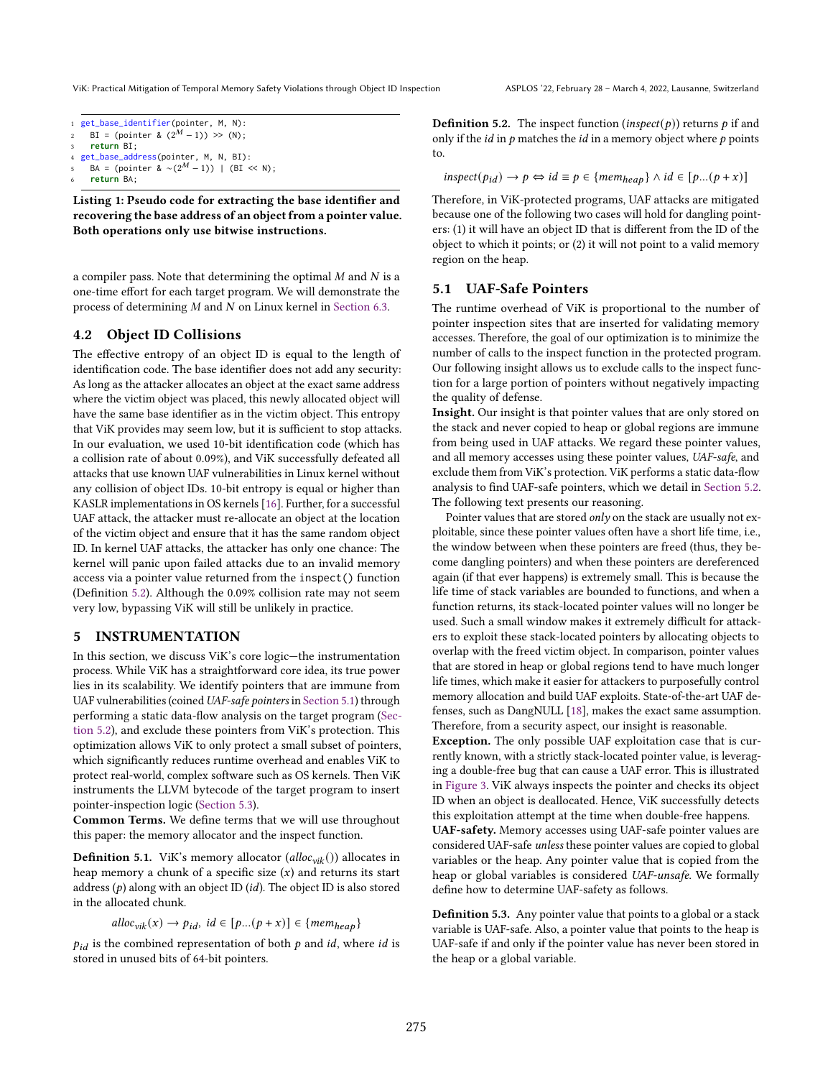ViK: Practical Mitigation of Temporal Memory Safety Violations through Object ID Inspection ASPLOS '22, February 28 - March 4, 2022, Lausanne, Switzerland

<span id="page-4-2"></span>

| 1 get_base_identifier(pointer, M, N):             |
|---------------------------------------------------|
| 2 BI = (pointer & $(2^M - 1)$ ) >> (N);           |
| 3 return BI;                                      |
| 4 get_base_address(pointer, M, N, BI):            |
| 5 BA = (pointer & $\sim (2^M - 1)$ )   (BI << N); |
| 6 return BA;                                      |

Listing 1: Pseudo code for extracting the base identifier and recovering the base address of an object from a pointer value. Both operations only use bitwise instructions.

a compiler pass. Note that determining the optimal  $M$  and  $N$  is a one-time effort for each target program. We will demonstrate the process of determining  $M$  and  $N$  on Linux kernel in [Section 6.3.](#page-7-1)

# <span id="page-4-1"></span>4.2 Object ID Collisions

The effective entropy of an object ID is equal to the length of identification code. The base identifier does not add any security: As long as the attacker allocates an object at the exact same address where the victim object was placed, this newly allocated object will have the same base identifier as in the victim object. This entropy that ViK provides may seem low, but it is sufficient to stop attacks. In our evaluation, we used 10-bit identification code (which has a collision rate of about 0.09%), and ViK successfully defeated all attacks that use known UAF vulnerabilities in Linux kernel without any collision of object IDs. 10-bit entropy is equal or higher than KASLR implementations in OS kernels [\[16\]](#page-12-17). Further, for a successful UAF attack, the attacker must re-allocate an object at the location of the victim object and ensure that it has the same random object ID. In kernel UAF attacks, the attacker has only one chance: The kernel will panic upon failed attacks due to an invalid memory access via a pointer value returned from the inspect() function (Definition [5.2\)](#page-4-3). Although the 0.09% collision rate may not seem very low, bypassing ViK will still be unlikely in practice.

# <span id="page-4-0"></span>5 INSTRUMENTATION

In this section, we discuss ViK's core logic-the instrumentation process. While ViK has a straightforward core idea, its true power lies in its scalability. We identify pointers that are immune from UAF vulnerabilities (coined UAF-safe pointers in [Section 5.1\)](#page-4-4) through performing a static data-flow analysis on the target program [\(Sec](#page-5-0)[tion 5.2\)](#page-5-0), and exclude these pointers from ViK's protection. This optimization allows ViK to only protect a small subset of pointers, which significantly reduces runtime overhead and enables ViK to protect real-world, complex software such as OS kernels. Then ViK instruments the LLVM bytecode of the target program to insert pointer-inspection logic [\(Section 5.3\)](#page-6-0).

Common Terms. We define terms that we will use throughout this paper: the memory allocator and the inspect function.

**Definition 5.1.** ViK's memory allocator (alloc<sub>vik</sub>()) allocates in heap memory a chunk of a specific size  $(x)$  and returns its start address  $(p)$  along with an object ID (*id*). The object ID is also stored in the allocated chunk.

$$
alloc_{vik}(x) \rightarrow p_{id}, \ id \in [p...(p+x)] \in \{mem_{heap}\}\
$$

 $p_{id}$  is the combined representation of both  $p$  and  $id$ , where  $id$  is stored in unused bits of 64-bit pointers.

<span id="page-4-3"></span>**Definition 5.2.** The inspect function (*inspect(p)*) returns  $p$  if and only if the *id* in  $p$  matches the *id* in a memory object where  $p$  points to.

$$
inspect(p_{id}) \rightarrow p \Leftrightarrow id \equiv p \in \{mem_{heap}\} \land id \in [p...(p+x)]
$$

Therefore, in ViK-protected programs, UAF attacks are mitigated because one of the following two cases will hold for dangling pointers: (1) it will have an object ID that is different from the ID of the object to which it points; or (2) it will not point to a valid memory region on the heap.

# <span id="page-4-4"></span>5.1 UAF-Safe Pointers

The runtime overhead of ViK is proportional to the number of pointer inspection sites that are inserted for validating memory accesses. Therefore, the goal of our optimization is to minimize the number of calls to the inspect function in the protected program. Our following insight allows us to exclude calls to the inspect function for a large portion of pointers without negatively impacting the quality of defense.

Insight. Our insight is that pointer values that are only stored on the stack and never copied to heap or global regions are immune from being used in UAF attacks. We regard these pointer values, and all memory accesses using these pointer values, UAF-safe, and exclude them from ViK's protection. ViK performs a static data-flow analysis to find UAF-safe pointers, which we detail in [Section 5.2.](#page-5-0) The following text presents our reasoning.

Pointer values that are stored only on the stack are usually not exploitable, since these pointer values often have a short life time, i.e., the window between when these pointers are freed (thus, they become dangling pointers) and when these pointers are dereferenced again (if that ever happens) is extremely small. This is because the life time of stack variables are bounded to functions, and when a function returns, its stack-located pointer values will no longer be used. Such a small window makes it extremely difficult for attackers to exploit these stack-located pointers by allocating objects to overlap with the freed victim object. In comparison, pointer values that are stored in heap or global regions tend to have much longer life times, which make it easier for attackers to purposefully control memory allocation and build UAF exploits. State-of-the-art UAF defenses, such as DangNULL [\[18\]](#page-12-4), makes the exact same assumption. Therefore, from a security aspect, our insight is reasonable.

Exception. The only possible UAF exploitation case that is currently known, with a strictly stack-located pointer value, is leveraging a double-free bug that can cause a UAF error. This is illustrated in [Figure 3.](#page-5-1) ViK always inspects the pointer and checks its object ID when an object is deallocated. Hence, ViK successfully detects this exploitation attempt at the time when double-free happens.

UAF-safety. Memory accesses using UAF-safe pointer values are considered UAF-safe unless these pointer values are copied to global variables or the heap. Any pointer value that is copied from the heap or global variables is considered UAF-unsafe. We formally define how to determine UAF-safety as follows.

<span id="page-4-5"></span>Definition 5.3. Any pointer value that points to a global or a stack variable is UAF-safe. Also, a pointer value that points to the heap is UAF-safe if and only if the pointer value has never been stored in the heap or a global variable.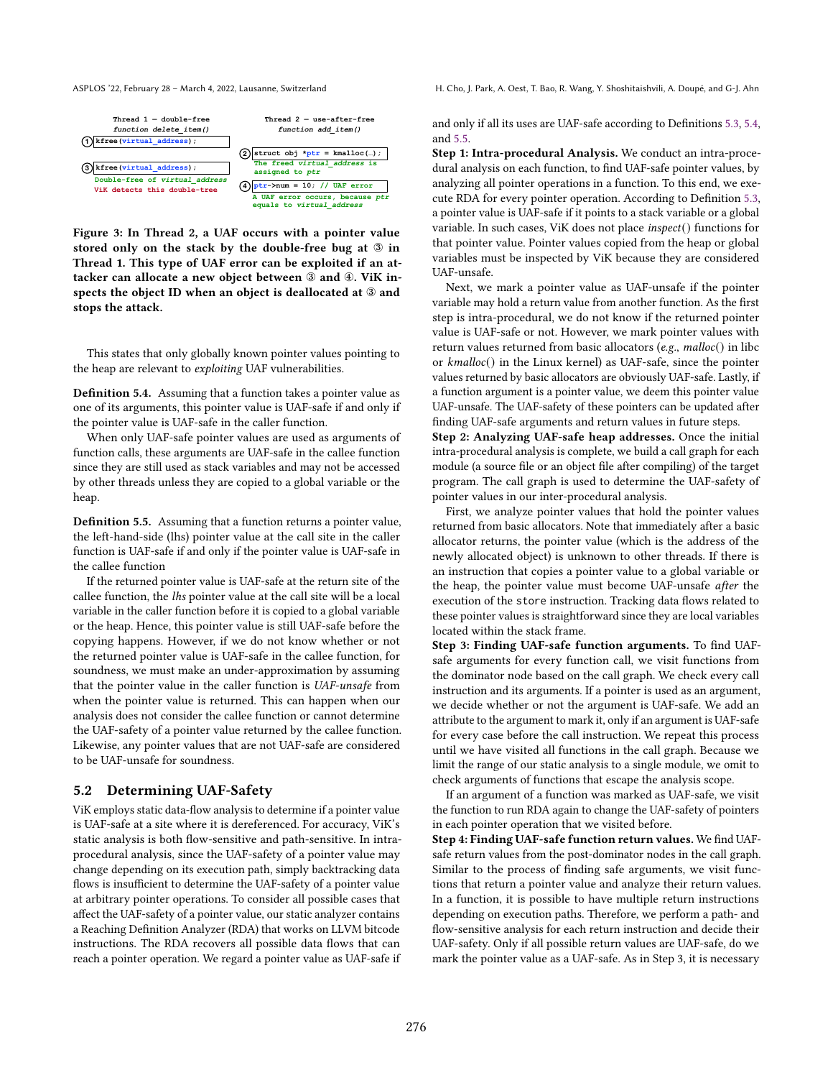Figure 3: In Thread 2, a UAF occurs with a pointer value stored only on the stack by the double-free bug at ③ in Thread 1. This type of UAF error can be exploited if an attacker can allocate a new object between ③ and ④. ViK inspects the object ID when an object is deallocated at ③ and stops the attack.

This states that only globally known pointer values pointing to the heap are relevant to exploiting UAF vulnerabilities.

<span id="page-5-2"></span>Definition 5.4. Assuming that a function takes a pointer value as one of its arguments, this pointer value is UAF-safe if and only if the pointer value is UAF-safe in the caller function.

When only UAF-safe pointer values are used as arguments of function calls, these arguments are UAF-safe in the callee function since they are still used as stack variables and may not be accessed by other threads unless they are copied to a global variable or the heap.

<span id="page-5-3"></span>Definition 5.5. Assuming that a function returns a pointer value, the left-hand-side (lhs) pointer value at the call site in the caller function is UAF-safe if and only if the pointer value is UAF-safe in the callee function

If the returned pointer value is UAF-safe at the return site of the callee function, the lhs pointer value at the call site will be a local variable in the caller function before it is copied to a global variable or the heap. Hence, this pointer value is still UAF-safe before the copying happens. However, if we do not know whether or not the returned pointer value is UAF-safe in the callee function, for soundness, we must make an under-approximation by assuming that the pointer value in the caller function is UAF-unsafe from when the pointer value is returned. This can happen when our analysis does not consider the callee function or cannot determine the UAF-safety of a pointer value returned by the callee function. Likewise, any pointer values that are not UAF-safe are considered to be UAF-unsafe for soundness.

#### <span id="page-5-0"></span>5.2 Determining UAF-Safety

ViK employs static data-flow analysis to determine if a pointer value is UAF-safe at a site where it is dereferenced. For accuracy, ViK's static analysis is both flow-sensitive and path-sensitive. In intraprocedural analysis, since the UAF-safety of a pointer value may change depending on its execution path, simply backtracking data flows is insufficient to determine the UAF-safety of a pointer value at arbitrary pointer operations. To consider all possible cases that affect the UAF-safety of a pointer value, our static analyzer contains a Reaching Definition Analyzer (RDA) that works on LLVM bitcode instructions. The RDA recovers all possible data flows that can reach a pointer operation. We regard a pointer value as UAF-safe if

<span id="page-5-1"></span>ASPLOS '22, February 28 - March 4, 2022, Lausanne, Switzerland H. Cho, J. Park, A. Oest, T. Bao, R. Wang, Y. Shoshitaishvili, A. Doupé, and G-J. Ahn

and only if all its uses are UAF-safe according to Definitions [5.3,](#page-4-5) [5.4,](#page-5-2) and [5.5.](#page-5-3)

Step 1: Intra-procedural Analysis. We conduct an intra-procedural analysis on each function, to find UAF-safe pointer values, by analyzing all pointer operations in a function. To this end, we execute RDA for every pointer operation. According to Definition [5.3,](#page-4-5) a pointer value is UAF-safe if it points to a stack variable or a global variable. In such cases, ViK does not place inspect() functions for that pointer value. Pointer values copied from the heap or global variables must be inspected by ViK because they are considered UAF-unsafe.

Next, we mark a pointer value as UAF-unsafe if the pointer variable may hold a return value from another function. As the first step is intra-procedural, we do not know if the returned pointer value is UAF-safe or not. However, we mark pointer values with return values returned from basic allocators (e.g., malloc() in libc or kmalloc() in the Linux kernel) as UAF-safe, since the pointer values returned by basic allocators are obviously UAF-safe. Lastly, if a function argument is a pointer value, we deem this pointer value UAF-unsafe. The UAF-safety of these pointers can be updated after finding UAF-safe arguments and return values in future steps.

Step 2: Analyzing UAF-safe heap addresses. Once the initial intra-procedural analysis is complete, we build a call graph for each module (a source file or an object file after compiling) of the target program. The call graph is used to determine the UAF-safety of pointer values in our inter-procedural analysis.

First, we analyze pointer values that hold the pointer values returned from basic allocators. Note that immediately after a basic allocator returns, the pointer value (which is the address of the newly allocated object) is unknown to other threads. If there is an instruction that copies a pointer value to a global variable or the heap, the pointer value must become UAF-unsafe after the execution of the store instruction. Tracking data flows related to these pointer values is straightforward since they are local variables located within the stack frame.

Step 3: Finding UAF-safe function arguments. To find UAFsafe arguments for every function call, we visit functions from the dominator node based on the call graph. We check every call instruction and its arguments. If a pointer is used as an argument, we decide whether or not the argument is UAF-safe. We add an attribute to the argument to mark it, only if an argument is UAF-safe for every case before the call instruction. We repeat this process until we have visited all functions in the call graph. Because we limit the range of our static analysis to a single module, we omit to check arguments of functions that escape the analysis scope.

If an argument of a function was marked as UAF-safe, we visit the function to run RDA again to change the UAF-safety of pointers in each pointer operation that we visited before.

Step 4: Finding UAF-safe function return values. We find UAFsafe return values from the post-dominator nodes in the call graph. Similar to the process of finding safe arguments, we visit functions that return a pointer value and analyze their return values. In a function, it is possible to have multiple return instructions depending on execution paths. Therefore, we perform a path- and flow-sensitive analysis for each return instruction and decide their UAF-safety. Only if all possible return values are UAF-safe, do we mark the pointer value as a UAF-safe. As in Step 3, it is necessary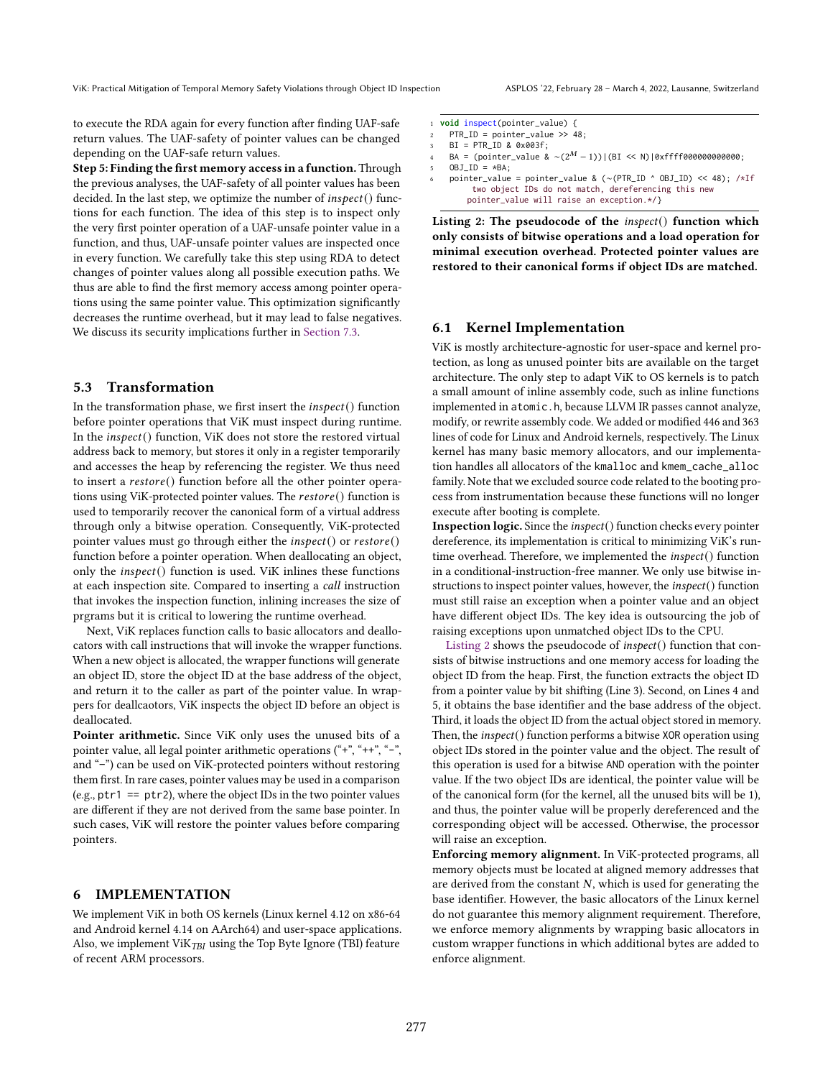ViK: Practical Mitigation of Temporal Memory Safety Violations through Object ID Inspection ASPLOS '22, February 28 - March 4, 2022, Lausanne, Switzerland

to execute the RDA again for every function after finding UAF-safe return values. The UAF-safety of pointer values can be changed depending on the UAF-safe return values.

Step 5: Finding the first memory access in a function. Through the previous analyses, the UAF-safety of all pointer values has been decided. In the last step, we optimize the number of  $\text{insect}()$  functions for each function. The idea of this step is to inspect only the very first pointer operation of a UAF-unsafe pointer value in a function, and thus, UAF-unsafe pointer values are inspected once in every function. We carefully take this step using RDA to detect changes of pointer values along all possible execution paths. We thus are able to find the first memory access among pointer operations using the same pointer value. This optimization significantly decreases the runtime overhead, but it may lead to false negatives. We discuss its security implications further in [Section 7.3.](#page-7-0)

#### <span id="page-6-0"></span>5.3 Transformation

In the transformation phase, we first insert the  $\mathit{insect}()$  function before pointer operations that ViK must inspect during runtime. In the  $\mathit{inspect}()$  function, ViK does not store the restored virtual address back to memory, but stores it only in a register temporarily and accesses the heap by referencing the register. We thus need to insert a  $\text{restore}()$  function before all the other pointer operations using ViK-protected pointer values. The  $\textit{restore}()$  function is used to temporarily recover the canonical form of a virtual address through only a bitwise operation. Consequently, ViK-protected pointer values must go through either the *inspect*() or  $\text{restore}()$ function before a pointer operation. When deallocating an object, only the  $\text{inspect}()$  function is used. ViK inlines these functions at each inspection site. Compared to inserting a call instruction that invokes the inspection function, inlining increases the size of prgrams but it is critical to lowering the runtime overhead.

Next, ViK replaces function calls to basic allocators and deallocators with call instructions that will invoke the wrapper functions. When a new object is allocated, the wrapper functions will generate an object ID, store the object ID at the base address of the object, and return it to the caller as part of the pointer value. In wrappers for deallcaotors, ViK inspects the object ID before an object is deallocated.

Pointer arithmetic. Since ViK only uses the unused bits of a pointer value, all legal pointer arithmetic operations  $(*, *+**, *-*,$ and "-") can be used on ViK-protected pointers without restoring them first. In rare cases, pointer values may be used in a comparison (e.g.,  $ptr1 == ptr2$ ), where the object IDs in the two pointer values are different if they are not derived from the same base pointer. In such cases, ViK will restore the pointer values before comparing pointers.

# 6 IMPLEMENTATION

We implement ViK in both OS kernels (Linux kernel 4.12 on x86-64 and Android kernel 4.14 on AArch64) and user-space applications. Also, we implement ViK $_{TBI}$  using the Top Byte Ignore (TBI) feature of recent ARM processors.

<span id="page-6-1"></span>

|                         | 1 <b>void</b> inspect(pointer_value) {                                     |
|-------------------------|----------------------------------------------------------------------------|
| $\mathbf{2}$            | $PTR_ID = pointer_value \gg 48$ ;                                          |
| $\overline{\mathbf{3}}$ | $BI = PTRID & 0 \times 003f$ ;                                             |
| $\overline{4}$          | BA = (pointer_value & $\sim (2^M - 1))$ ) (BI << N)   0xffff000000000000;  |
| 5.                      | OBJ $ID = *BA$ :                                                           |
| 6                       | pointer_value = pointer_value & $(\sim(PTR_1D \sim OBJ_1D) \ll 48)$ ; /*If |
|                         | two object IDs do not match, dereferencing this new                        |
|                         | pointer_value will raise an exception.*/}                                  |

Listing 2: The pseudocode of the *inspect*() function which only consists of bitwise operations and a load operation for minimal execution overhead. Protected pointer values are restored to their canonical forms if object IDs are matched.

# 6.1 Kernel Implementation

ViK is mostly architecture-agnostic for user-space and kernel protection, as long as unused pointer bits are available on the target architecture. The only step to adapt ViK to OS kernels is to patch a small amount of inline assembly code, such as inline functions implemented in atomic.h, because LLVM IR passes cannot analyze, modify, or rewrite assembly code. We added or modified 446 and 363 lines of code for Linux and Android kernels, respectively. The Linux kernel has many basic memory allocators, and our implementation handles all allocators of the kmalloc and kmem\_cache\_alloc family. Note that we excluded source code related to the booting process from instrumentation because these functions will no longer execute after booting is complete.

Inspection logic. Since the inspect() function checks every pointer dereference, its implementation is critical to minimizing ViK's runtime overhead. Therefore, we implemented the inspect() function in a conditional-instruction-free manner. We only use bitwise instructions to inspect pointer values, however, the inspect() function must still raise an exception when a pointer value and an object have different object IDs. The key idea is outsourcing the job of raising exceptions upon unmatched object IDs to the CPU.

[Listing 2](#page-6-1) shows the pseudocode of inspect() function that consists of bitwise instructions and one memory access for loading the object ID from the heap. First, the function extracts the object ID from a pointer value by bit shifting (Line 3). Second, on Lines 4 and 5, it obtains the base identifier and the base address of the object. Third, it loads the object ID from the actual object stored in memory. Then, the inspect() function performs a bitwise XOR operation using object IDs stored in the pointer value and the object. The result of this operation is used for a bitwise AND operation with the pointer value. If the two object IDs are identical, the pointer value will be of the canonical form (for the kernel, all the unused bits will be 1), and thus, the pointer value will be properly dereferenced and the corresponding object will be accessed. Otherwise, the processor will raise an exception.

Enforcing memory alignment. In ViK-protected programs, all memory objects must be located at aligned memory addresses that are derived from the constant  $N$ , which is used for generating the base identifier. However, the basic allocators of the Linux kernel do not guarantee this memory alignment requirement. Therefore, we enforce memory alignments by wrapping basic allocators in custom wrapper functions in which additional bytes are added to enforce alignment.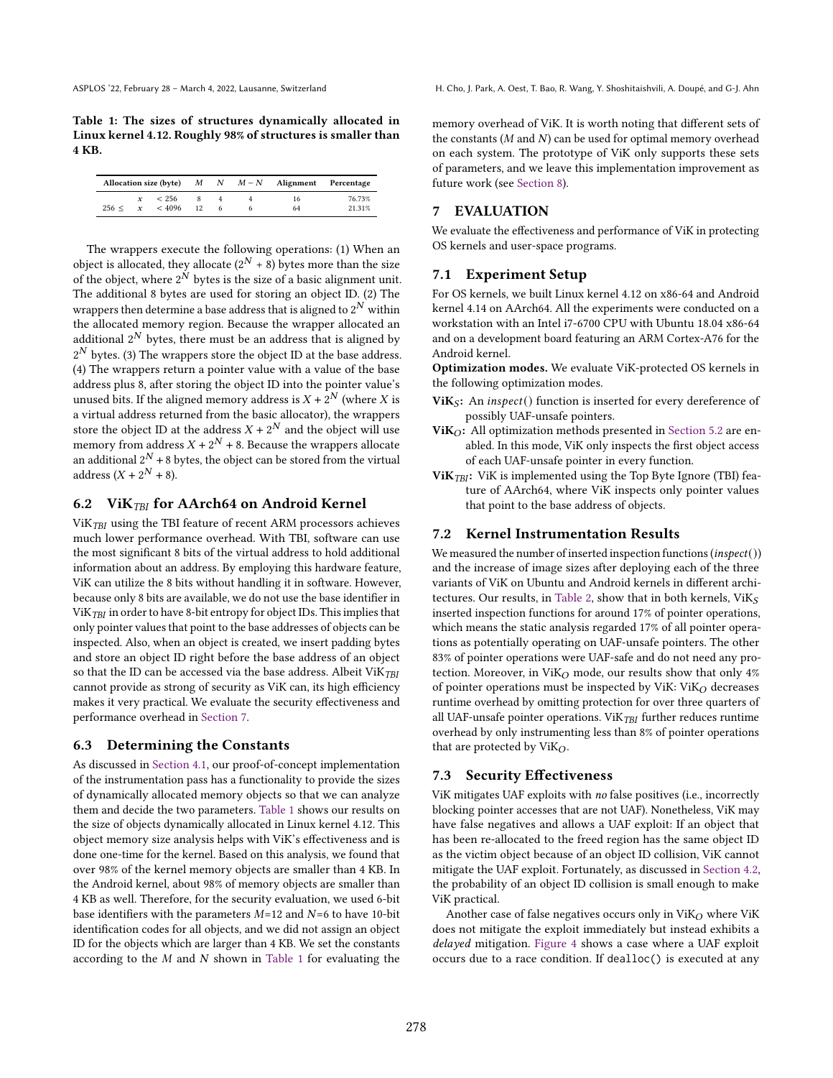<span id="page-7-3"></span>Table 1: The sizes of structures dynamically allocated in Linux kernel 4.12. Roughly 98% of structures is smaller than 4 KB.

|       |              |              |    |  | Allocation size (byte) $M \tN$ $M-N$ Alignment Percentage |        |
|-------|--------------|--------------|----|--|-----------------------------------------------------------|--------|
|       |              | $x \leq 256$ | -8 |  | 16                                                        | 76.73% |
| 256 < | $\mathbf{x}$ | < 4096       | 12 |  | 64                                                        | 21.31% |

The wrappers execute the following operations: (1) When an object is allocated, they allocate  $(2^N + 8)$  bytes more than the size of the object, where  $2^N$  bytes is the size of a basic alignment unit. The additional 8 bytes are used for storing an object ID. (2) The wrappers then determine a base address that is aligned to  $2^N$  within the allocated memory region. Because the wrapper allocated an additional  $2^N$  bytes, there must be an address that is aligned by  $2^N$  bytes. (3) The wrappers store the object ID at the base address. (4) The wrappers return a pointer value with a value of the base address plus 8, after storing the object ID into the pointer value's unused bits. If the aligned memory address is  $X + 2^N$  (where  $X$  is a virtual address returned from the basic allocator), the wrappers store the object ID at the address  $X + 2^N$  and the object will use memory from address  $X+2^N+8.$  Because the wrappers allocate an additional  $2^N$  + 8 bytes, the object can be stored from the virtual address  $(X + 2^N + 8)$ .

# 6.2 Vi $K_{TBI}$  for AArch64 on Android Kernel

 $ViK<sub>TBI</sub>$  using the TBI feature of recent ARM processors achieves much lower performance overhead. With TBI, software can use the most significant 8 bits of the virtual address to hold additional information about an address. By employing this hardware feature, ViK can utilize the 8 bits without handling it in software. However, because only 8 bits are available, we do not use the base identifier in ViK<sub>TBI</sub> in order to have 8-bit entropy for object IDs. This implies that only pointer values that point to the base addresses of objects can be inspected. Also, when an object is created, we insert padding bytes and store an object ID right before the base address of an object so that the ID can be accessed via the base address. Albeit ViK $_{TBI}$ cannot provide as strong of security as ViK can, its high efficiency makes it very practical. We evaluate the security effectiveness and performance overhead in [Section 7.](#page-7-2)

#### <span id="page-7-1"></span>6.3 Determining the Constants

As discussed in [Section 4.1,](#page-3-2) our proof-of-concept implementation of the instrumentation pass has a functionality to provide the sizes of dynamically allocated memory objects so that we can analyze them and decide the two parameters. [Table 1](#page-7-3) shows our results on the size of objects dynamically allocated in Linux kernel 4.12. This object memory size analysis helps with ViK's effectiveness and is done one-time for the kernel. Based on this analysis, we found that over 98% of the kernel memory objects are smaller than 4 KB. In the Android kernel, about 98% of memory objects are smaller than 4 KB as well. Therefore, for the security evaluation, we used 6-bit base identifiers with the parameters  $M=12$  and  $N=6$  to have 10-bit identification codes for all objects, and we did not assign an object ID for the objects which are larger than 4 KB. We set the constants according to the  $M$  and  $N$  shown in [Table 1](#page-7-3) for evaluating the memory overhead of ViK. It is worth noting that different sets of the constants  $(M \text{ and } N)$  can be used for optimal memory overhead on each system. The prototype of ViK only supports these sets of parameters, and we leave this implementation improvement as future work (see [Section 8\)](#page-9-0).

# <span id="page-7-2"></span>7 EVALUATION

We evaluate the effectiveness and performance of ViK in protecting OS kernels and user-space programs.

## 7.1 Experiment Setup

For OS kernels, we built Linux kernel 4.12 on x86-64 and Android kernel 4.14 on AArch64. All the experiments were conducted on a workstation with an Intel i7-6700 CPU with Ubuntu 18.04 x86-64 and on a development board featuring an ARM Cortex-A76 for the Android kernel.

Optimization modes. We evaluate ViK-protected OS kernels in the following optimization modes.

- Vi $K_S$ : An inspect() function is inserted for every dereference of possibly UAF-unsafe pointers.
- Vi $K_O$ : All optimization methods presented in [Section 5.2](#page-5-0) are enabled. In this mode, ViK only inspects the first object access of each UAF-unsafe pointer in every function.
- Vi $K<sub>TBI</sub>$ : Vi $K$  is implemented using the Top Byte Ignore (TBI) feature of AArch64, where ViK inspects only pointer values that point to the base address of objects.

## 7.2 Kernel Instrumentation Results

We measured the number of inserted inspection functions (inspect()) and the increase of image sizes after deploying each of the three variants of ViK on Ubuntu and Android kernels in different archi-tectures. Our results, in [Table 2,](#page-8-0) show that in both kernels,  $\mathrm{ViK}_{S}$ inserted inspection functions for around 17% of pointer operations, which means the static analysis regarded 17% of all pointer operations as potentially operating on UAF-unsafe pointers. The other 83% of pointer operations were UAF-safe and do not need any protection. Moreover, in ViK<sub>O</sub> mode, our results show that only  $4\%$ of pointer operations must be inspected by ViK:  $ViK<sub>O</sub>$  decreases runtime overhead by omitting protection for over three quarters of all UAF-unsafe pointer operations. Vi $K_{TBI}$  further reduces runtime overhead by only instrumenting less than 8% of pointer operations that are protected by  $ViK_O$ .

### <span id="page-7-0"></span>7.3 Security Effectiveness

ViK mitigates UAF exploits with no false positives (i.e., incorrectly blocking pointer accesses that are not UAF). Nonetheless, ViK may have false negatives and allows a UAF exploit: If an object that has been re-allocated to the freed region has the same object ID as the victim object because of an object ID collision, ViK cannot mitigate the UAF exploit. Fortunately, as discussed in [Section 4.2,](#page-4-1) the probability of an object ID collision is small enough to make ViK practical.

Another case of false negatives occurs only in  $ViK<sub>O</sub>$  where  $ViK$ does not mitigate the exploit immediately but instead exhibits a delayed mitigation. [Figure 4](#page-8-1) shows a case where a UAF exploit occurs due to a race condition. If dealloc() is executed at any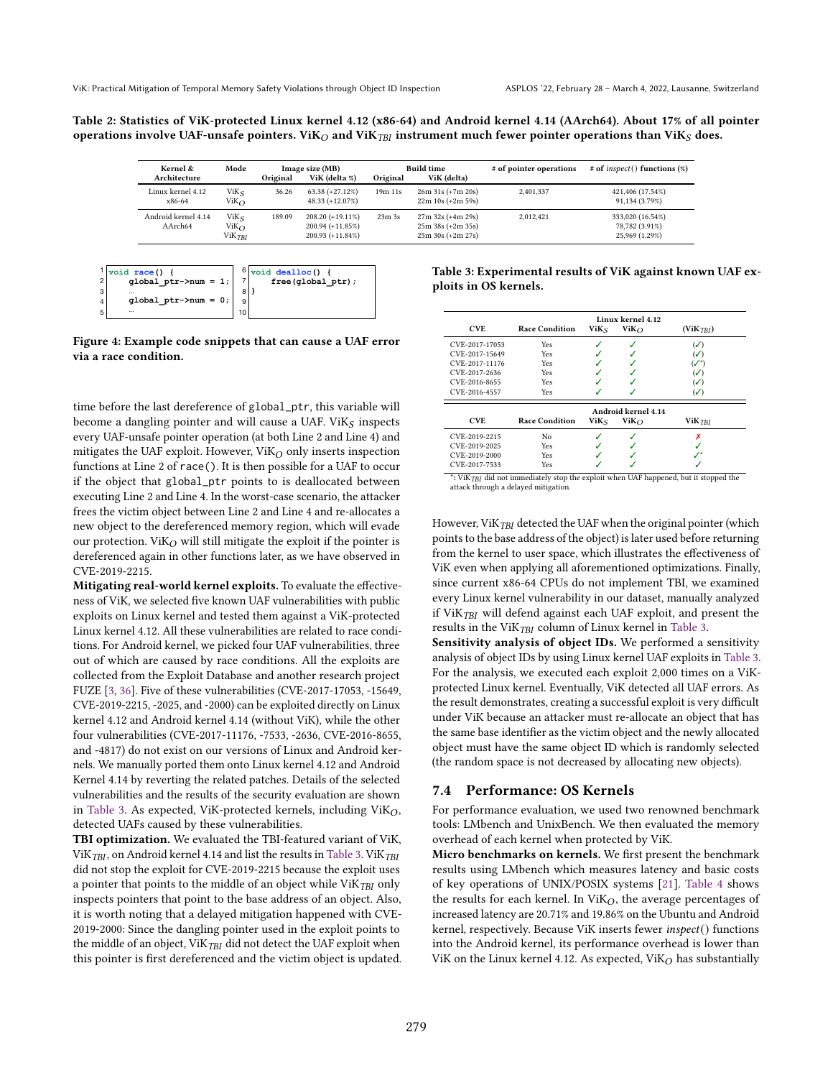<span id="page-8-0"></span>Table 2: Statistics of ViK-protected Linux kernel 4.12 (x86-64) and Android kernel 4.14 (AArch64). About 17% of all pointer operations involve UAF-unsafe pointers. ViK<sub>O</sub> and ViK<sub>TBI</sub> instrument much fewer pointer operations than ViK<sub>S</sub> does.

| Kernel &                       | Mode                                               |          | Image size (MB)                                                  |                   | <b>Build time</b>                                                 | # of pointer operations | $#$ of inspect() functions (%)                       |
|--------------------------------|----------------------------------------------------|----------|------------------------------------------------------------------|-------------------|-------------------------------------------------------------------|-------------------------|------------------------------------------------------|
| Architecture                   |                                                    | Original | ViK (delta %)                                                    | Original          | ViK (delta)                                                       |                         |                                                      |
| Linux kernel 4.12<br>x86-64    | $V$ i $K_S$<br>$ViK\Omega$                         | 36.26    | $63.38 (+27.12\%)$<br>$48.33 (+12.07\%)$                         | 19m 11s           | $26m 31s (+7m 20s)$<br>$22m 10s (+2m 59s)$                        | 2.401.337               | 421,406 (17.54%)<br>91,134 (3.79%)                   |
| Android kernel 4.14<br>AArch64 | $V$ i $K_{S}$<br>$ViK\Omega$<br>ViK <sub>TBI</sub> | 189.09   | $208.20 (+19.11\%)$<br>$200.94 (+11.85%)$<br>$200.93 (+11.84\%)$ | 23m <sub>3s</sub> | $27m$ 32s (+4m 29s)<br>$25m 38s (+2m 35s)$<br>$25m 30s (+2m 27s)$ | 2.012.421               | 333,020 (16.54%)<br>78,782 (3.91%)<br>25,969 (1.29%) |

<span id="page-8-1"></span>

Figure 4: Example code snippets that can cause a UAF error via a race condition.

time before the last dereference of global\_ptr, this variable will become a dangling pointer and will cause a UAF. Vi $K_S$  inspects every UAF-unsafe pointer operation (at both Line 2 and Line 4) and mitigates the UAF exploit. However,  $ViK_O$  only inserts inspection functions at Line 2 of race(). It is then possible for a UAF to occur if the object that global\_ptr points to is deallocated between executing Line 2 and Line 4. In the worst-case scenario, the attacker frees the victim object between Line 2 and Line 4 and re-allocates a new object to the dereferenced memory region, which will evade our protection. Vi $K_O$  will still mitigate the exploit if the pointer is dereferenced again in other functions later, as we have observed in CVE-2019-2215.

Mitigating real-world kernel exploits. To evaluate the effectiveness of ViK, we selected five known UAF vulnerabilities with public exploits on Linux kernel and tested them against a ViK-protected Linux kernel 4.12. All these vulnerabilities are related to race conditions. For Android kernel, we picked four UAF vulnerabilities, three out of which are caused by race conditions. All the exploits are collected from the Exploit Database and another research project FUZE [\[3,](#page-12-18) [36\]](#page-13-15). Five of these vulnerabilities (CVE-2017-17053, -15649, CVE-2019-2215, -2025, and -2000) can be exploited directly on Linux kernel 4.12 and Android kernel 4.14 (without ViK), while the other four vulnerabilities (CVE-2017-11176, -7533, -2636, CVE-2016-8655, and -4817) do not exist on our versions of Linux and Android kernels. We manually ported them onto Linux kernel 4.12 and Android Kernel 4.14 by reverting the related patches. Details of the selected vulnerabilities and the results of the security evaluation are shown in [Table 3.](#page-8-2) As expected, ViK-protected kernels, including  $ViK<sub>O</sub>$ , detected UAFs caused by these vulnerabilities.

TBI optimization. We evaluated the TBI-featured variant of ViK, ViK $_{TBI}$ , on Android kernel 4.14 and list the results in [Table 3.](#page-8-2) ViK $_{TBI}$ did not stop the exploit for CVE-2019-2215 because the exploit uses a pointer that points to the middle of an object while  $ViK_{TBI}$  only inspects pointers that point to the base address of an object. Also, it is worth noting that a delayed mitigation happened with CVE-2019-2000: Since the dangling pointer used in the exploit points to the middle of an object,  $ViK<sub>TBI</sub>$  did not detect the UAF exploit when this pointer is first dereferenced and the victim object is updated.

<span id="page-8-2"></span>

| Table 3: Experimental results of ViK against known UAF ex- |  |
|------------------------------------------------------------|--|
| ploits in OS kernels.                                      |  |

| Linux kernel 4.12 |                       |                  |                     |                       |  |  |
|-------------------|-----------------------|------------------|---------------------|-----------------------|--|--|
| <b>CVE</b>        | <b>Race Condition</b> | $V$ i $K_S$      | Vi $K_O$            | (ViK <sub>TBI</sub> ) |  |  |
| CVE-2017-17053    | Yes                   |                  | J                   | $(\mathcal{S})$       |  |  |
| CVE-2017-15649    | Yes                   |                  |                     | $(\checkmark)$        |  |  |
| CVE-2017-11176    | Yes                   |                  |                     | $\boldsymbol{V}^*$    |  |  |
| CVE-2017-2636     | Yes                   |                  |                     | $(\checkmark)$        |  |  |
| CVE-2016-8655     | Yes                   |                  |                     | $(\mathcal{S})$       |  |  |
| CVE-2016-4557     | Yes                   |                  |                     | $(\sqrt{2})$          |  |  |
|                   |                       |                  | Android kernel 4.14 |                       |  |  |
| <b>CVE</b>        | <b>Race Condition</b> | ViK <sub>S</sub> | Vi $K_O$            | $ViK$ <i>TBI</i>      |  |  |
| CVE-2019-2215     | No                    |                  |                     |                       |  |  |
| CVE-2019-2025     | Yes                   |                  |                     |                       |  |  |
|                   |                       |                  |                     |                       |  |  |
| CVE-2019-2000     | Yes                   |                  |                     |                       |  |  |

: ViKTBI did not immediately stop the exploit when UAF happened, but it stopped the attack through a delayed mitigation.

However, ViK $_{TBI}$  detected the UAF when the original pointer (which points to the base address of the object) is later used before returning from the kernel to user space, which illustrates the effectiveness of ViK even when applying all aforementioned optimizations. Finally, since current x86-64 CPUs do not implement TBI, we examined every Linux kernel vulnerability in our dataset, manually analyzed if ViK $_{TBI}$  will defend against each UAF exploit, and present the results in the ViK $_{TBI}$  column of Linux kernel in [Table 3.](#page-8-2)

Sensitivity analysis of object IDs. We performed a sensitivity analysis of object IDs by using Linux kernel UAF exploits in [Table 3.](#page-8-2) For the analysis, we executed each exploit 2,000 times on a ViKprotected Linux kernel. Eventually, ViK detected all UAF errors. As the result demonstrates, creating a successful exploit is very difficult under ViK because an attacker must re-allocate an object that has the same base identifier as the victim object and the newly allocated object must have the same object ID which is randomly selected (the random space is not decreased by allocating new objects).

# 7.4 Performance: OS Kernels

For performance evaluation, we used two renowned benchmark tools: LMbench and UnixBench. We then evaluated the memory overhead of each kernel when protected by ViK.

Micro benchmarks on kernels. We first present the benchmark results using LMbench which measures latency and basic costs of key operations of UNIX/POSIX systems [\[21\]](#page-13-16). [Table 4](#page-9-1) shows the results for each kernel. In  $ViK_O$ , the average percentages of increased latency are 20.71% and 19.86% on the Ubuntu and Android kernel, respectively. Because ViK inserts fewer inspect() functions into the Android kernel, its performance overhead is lower than ViK on the Linux kernel 4.12. As expected, ViK $_O$  has substantially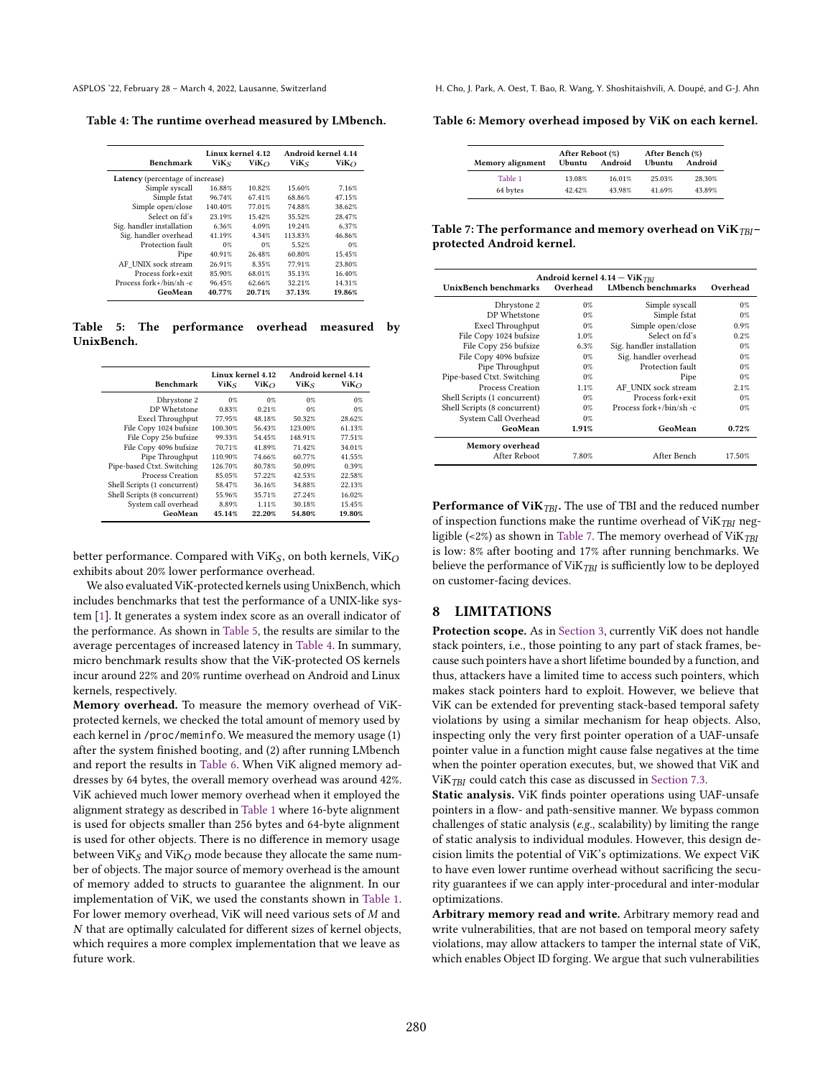<span id="page-9-1"></span>Table 4: The runtime overhead measured by LMbench.

|                                         | Linux kernel 4-12 |          | Android kernel 4.14 |           |  |  |  |
|-----------------------------------------|-------------------|----------|---------------------|-----------|--|--|--|
| Benchmark                               | ViK <sub>S</sub>  | Vi $K_O$ | ViK <sub>S</sub>    | $ViK_{O}$ |  |  |  |
| <b>Latency</b> (percentage of increase) |                   |          |                     |           |  |  |  |
| Simple syscall                          | 16.88%            | 10.82%   | 15.60%              | 7.16%     |  |  |  |
| Simple fstat                            | 96.74%            | 67.41%   | 68.86%              | 47.15%    |  |  |  |
| Simple open/close                       | 140.40%           | 77.01%   | 74.88%              | 38.62%    |  |  |  |
| Select on fd's                          | 23.19%            | 15.42%   | 35.52%              | 28.47%    |  |  |  |
| Sig. handler installation               | 6.36%             | 4.09%    | 19.24%              | 6.37%     |  |  |  |
| Sig. handler overhead                   | 41.19%            | 4.34%    | 113.83%             | 46.86%    |  |  |  |
| Protection fault                        | 0%                | 0%       | 5.52%               | 0%        |  |  |  |
| Pipe                                    | 40.91%            | 26.48%   | 60.80%              | 15.45%    |  |  |  |
| AF UNIX sock stream                     | 26.91%            | 8.35%    | 77.91%              | 23.80%    |  |  |  |
| Process fork+exit                       | 85.90%            | 68.01%   | 35.13%              | 16.40%    |  |  |  |
| Process fork+/bin/sh-c                  | 96.45%            | 62.66%   | 32.21%              | 14.31%    |  |  |  |
| GeoMean                                 | 40.77%            | 20.71%   | 37.13%              | 19.86%    |  |  |  |

<span id="page-9-2"></span>Table 5: The performance overhead measured by UnixBench.

|                              | Linux kernel 4.12 |         | Android kernel 4.14 |             |  |
|------------------------------|-------------------|---------|---------------------|-------------|--|
| Benchmark                    | ViK5              | $ViK_O$ | ViΚς                | $ViK\Omega$ |  |
| Dhrystone 2                  | $0\%$             | $0\%$   | 0%                  | 0%          |  |
| DP Whetstone                 | 0.83%             | 0.21%   | $0\%$               | 0%          |  |
| Execl Throughput             | 77.95%            | 48.18%  | 50.32%              | 28.62%      |  |
| File Copy 1024 bufsize       | 100.30%           | 56.43%  | 123.00%             | 61.13%      |  |
| File Copy 256 bufsize        | 99.33%            | 54.45%  | 148.91%             | 77.51%      |  |
| File Copy 4096 bufsize       | 70.71%            | 41.89%  | 71.42%              | 34.01%      |  |
| Pipe Throughput              | 110.90%           | 74.66%  | 60.77%              | 41.55%      |  |
| Pipe-based Ctxt. Switching   | 126.70%           | 80.78%  | 50.09%              | 0.39%       |  |
| Process Creation             | 85.05%            | 57.22%  | 42.53%              | 22.58%      |  |
| Shell Scripts (1 concurrent) | 58.47%            | 36.16%  | 34.88%              | 22.13%      |  |
| Shell Scripts (8 concurrent) | 55.96%            | 35.71%  | 27.24%              | 16.02%      |  |
| System call overhead         | 8.89%             | 1.11%   | 30.18%              | 15.45%      |  |
| GeoMean                      | 45.14%            | 22.20%  | 54.80%              | 19.80%      |  |

better performance. Compared with ViK<sub>S</sub>, on both kernels, ViK<sub>O</sub> exhibits about 20% lower performance overhead.

We also evaluated ViK-protected kernels using UnixBench, which includes benchmarks that test the performance of a UNIX-like system [\[1\]](#page-12-19). It generates a system index score as an overall indicator of the performance. As shown in [Table 5,](#page-9-2) the results are similar to the average percentages of increased latency in [Table 4.](#page-9-1) In summary, micro benchmark results show that the ViK-protected OS kernels incur around 22% and 20% runtime overhead on Android and Linux kernels, respectively.

Memory overhead. To measure the memory overhead of ViKprotected kernels, we checked the total amount of memory used by each kernel in /proc/meminfo. We measured the memory usage (1) after the system finished booting, and (2) after running LMbench and report the results in [Table 6.](#page-9-3) When ViK aligned memory addresses by 64 bytes, the overall memory overhead was around 42%. ViK achieved much lower memory overhead when it employed the alignment strategy as described in [Table 1](#page-7-3) where 16-byte alignment is used for objects smaller than 256 bytes and 64-byte alignment is used for other objects. There is no difference in memory usage between ViK<sub>S</sub> and ViK<sub>O</sub> mode because they allocate the same number of objects. The major source of memory overhead is the amount of memory added to structs to guarantee the alignment. In our implementation of ViK, we used the constants shown in [Table 1.](#page-7-3) For lower memory overhead, ViK will need various sets of  $M$  and  $N$  that are optimally calculated for different sizes of kernel objects, which requires a more complex implementation that we leave as future work.

ASPLOS '22, February 28 - March 4, 2022, Lausanne, Switzerland H. Cho, J. Park, A. Oest, T. Bao, R. Wang, Y. Shoshitaishvili, A. Doupé, and G-J. Ahn

<span id="page-9-3"></span>Table 6: Memory overhead imposed by ViK on each kernel.

|                  | After Reboot (%) |         | After Bench (%) |         |
|------------------|------------------|---------|-----------------|---------|
| Memory alignment | Ubuntu           | Android | Ubuntu          | Android |
| Table 1          | 13.08%           | 16.01%  | 25.03%          | 28.30%  |
| 64 bytes         | 42.42%           | 43.98%  | 41.69%          | 43.89%  |

<span id="page-9-4"></span>Table 7: The performance and memory overhead on ViK $_{TBI}$ protected Android kernel.

| Android kernel $4.14 - ViK$ <sub>TBI</sub><br>UnixBench benchmarks<br>LMbench benchmarks<br>Overhead<br>Overhead |       |                             |        |  |  |  |
|------------------------------------------------------------------------------------------------------------------|-------|-----------------------------|--------|--|--|--|
| Dhrystone 2                                                                                                      | $0\%$ | Simple syscall              | $0\%$  |  |  |  |
| DP Whetstone                                                                                                     | $0\%$ | Simple fstat                | $0\%$  |  |  |  |
| <b>Execl Throughput</b>                                                                                          | $0\%$ | Simple open/close           | 0.9%   |  |  |  |
| File Copy 1024 bufsize                                                                                           | 1.0%  | Select on fd's              | 0.2%   |  |  |  |
| File Copy 256 bufsize                                                                                            | 6.3%  | Sig. handler installation   | $0\%$  |  |  |  |
| File Copy 4096 bufsize                                                                                           | $0\%$ | Sig. handler overhead       | $0\%$  |  |  |  |
| Pipe Throughput                                                                                                  | $0\%$ | Protection fault            | $0\%$  |  |  |  |
| Pipe-based Ctxt. Switching                                                                                       | $0\%$ | Pipe                        | $0\%$  |  |  |  |
| Process Creation                                                                                                 | 1.1%  | AF UNIX sock stream         | 2.1%   |  |  |  |
| Shell Scripts (1 concurrent)                                                                                     | $0\%$ | Process fork+exit           | $0\%$  |  |  |  |
| Shell Scripts (8 concurrent)                                                                                     | $0\%$ | Process for $k$ +/bin/sh -c | $0\%$  |  |  |  |
| System Call Overhead                                                                                             | $0\%$ |                             |        |  |  |  |
| GeoMean                                                                                                          | 1.91% | GeoMean                     | 0.72%  |  |  |  |
| Memory overhead<br>After Reboot                                                                                  | 7.80% | After Bench                 | 17.50% |  |  |  |

**Performance of ViK** $_{TBI}$ . The use of TBI and the reduced number of inspection functions make the runtime overhead of ViK $_{TBI}$  neg-ligible (<2%) as shown in [Table 7.](#page-9-4) The memory overhead of  $ViK_{TBI}$ is low: 8% after booting and 17% after running benchmarks. We believe the performance of ViK $_{TBI}$  is sufficiently low to be deployed on customer-facing devices.

### <span id="page-9-0"></span>8 LIMITATIONS

Protection scope. As in [Section 3,](#page-2-1) currently ViK does not handle stack pointers, i.e., those pointing to any part of stack frames, because such pointers have a short lifetime bounded by a function, and thus, attackers have a limited time to access such pointers, which makes stack pointers hard to exploit. However, we believe that ViK can be extended for preventing stack-based temporal safety violations by using a similar mechanism for heap objects. Also, inspecting only the very first pointer operation of a UAF-unsafe pointer value in a function might cause false negatives at the time when the pointer operation executes, but, we showed that ViK and ViK $_{TBI}$  could catch this case as discussed in [Section 7.3.](#page-7-0)

Static analysis. ViK finds pointer operations using UAF-unsafe pointers in a flow- and path-sensitive manner. We bypass common challenges of static analysis (e.g., scalability) by limiting the range of static analysis to individual modules. However, this design decision limits the potential of ViK's optimizations. We expect ViK to have even lower runtime overhead without sacrificing the security guarantees if we can apply inter-procedural and inter-modular optimizations.

Arbitrary memory read and write. Arbitrary memory read and write vulnerabilities, that are not based on temporal meory safety violations, may allow attackers to tamper the internal state of ViK, which enables Object ID forging. We argue that such vulnerabilities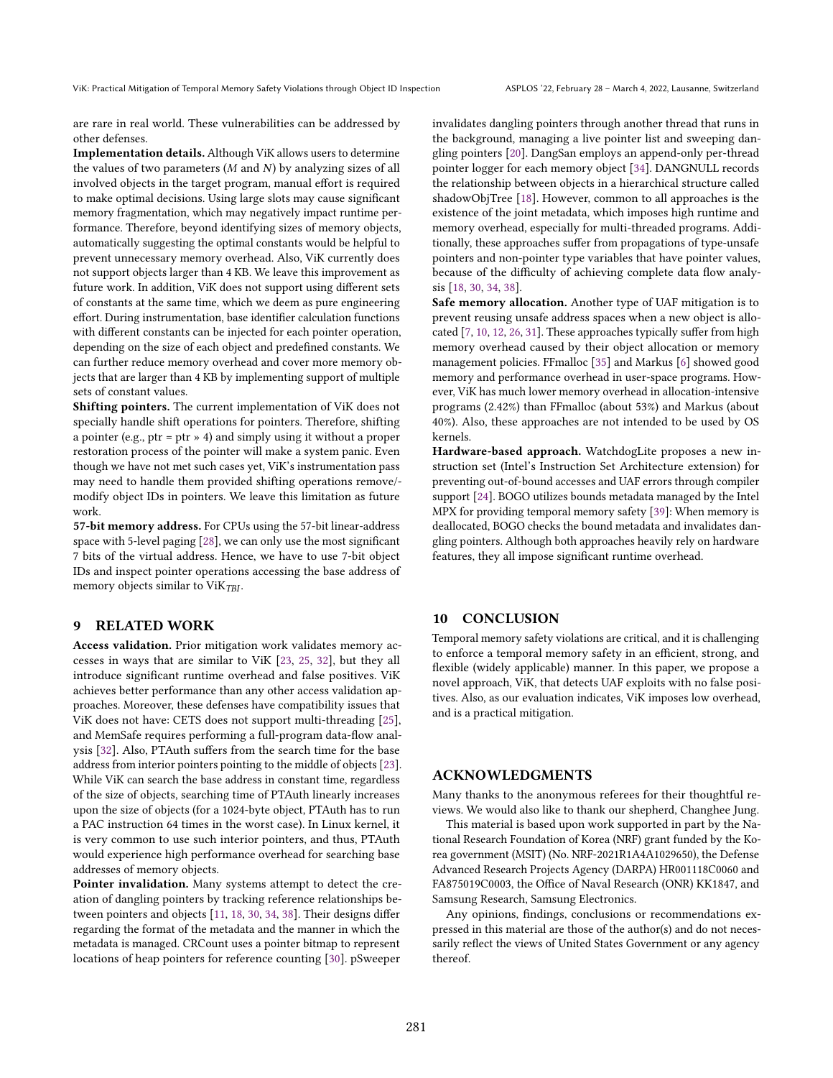are rare in real world. These vulnerabilities can be addressed by other defenses.

Implementation details. Although ViK allows users to determine the values of two parameters  $(M \text{ and } N)$  by analyzing sizes of all involved objects in the target program, manual effort is required to make optimal decisions. Using large slots may cause significant memory fragmentation, which may negatively impact runtime performance. Therefore, beyond identifying sizes of memory objects, automatically suggesting the optimal constants would be helpful to prevent unnecessary memory overhead. Also, ViK currently does not support objects larger than 4 KB. We leave this improvement as future work. In addition, ViK does not support using different sets of constants at the same time, which we deem as pure engineering effort. During instrumentation, base identifier calculation functions with different constants can be injected for each pointer operation, depending on the size of each object and predefined constants. We can further reduce memory overhead and cover more memory objects that are larger than 4 KB by implementing support of multiple sets of constant values.

Shifting pointers. The current implementation of ViK does not specially handle shift operations for pointers. Therefore, shifting a pointer (e.g., ptr = ptr  $\ast$  4) and simply using it without a proper restoration process of the pointer will make a system panic. Even though we have not met such cases yet, ViK's instrumentation pass may need to handle them provided shifting operations remove/ modify object IDs in pointers. We leave this limitation as future work.

57-bit memory address. For CPUs using the 57-bit linear-address space with 5-level paging [\[28\]](#page-13-17), we can only use the most significant 7 bits of the virtual address. Hence, we have to use 7-bit object IDs and inspect pointer operations accessing the base address of memory objects similar to  $ViK<sub>TBI</sub>$ .

#### 9 RELATED WORK

Access validation. Prior mitigation work validates memory accesses in ways that are similar to ViK [\[23,](#page-13-4) [25,](#page-13-5) [32\]](#page-13-6), but they all introduce significant runtime overhead and false positives. ViK achieves better performance than any other access validation approaches. Moreover, these defenses have compatibility issues that ViK does not have: CETS does not support multi-threading [\[25\]](#page-13-5), and MemSafe requires performing a full-program data-flow analysis [\[32\]](#page-13-6). Also, PTAuth suffers from the search time for the base address from interior pointers pointing to the middle of objects [\[23\]](#page-13-4). While ViK can search the base address in constant time, regardless of the size of objects, searching time of PTAuth linearly increases upon the size of objects (for a 1024-byte object, PTAuth has to run a PAC instruction 64 times in the worst case). In Linux kernel, it is very common to use such interior pointers, and thus, PTAuth would experience high performance overhead for searching base addresses of memory objects.

Pointer invalidation. Many systems attempt to detect the creation of dangling pointers by tracking reference relationships between pointers and objects [\[11,](#page-12-3) [18,](#page-12-4) [30,](#page-13-7) [34,](#page-13-8) [38\]](#page-13-9). Their designs differ regarding the format of the metadata and the manner in which the metadata is managed. CRCount uses a pointer bitmap to represent locations of heap pointers for reference counting [\[30\]](#page-13-7). pSweeper

invalidates dangling pointers through another thread that runs in the background, managing a live pointer list and sweeping dangling pointers [\[20\]](#page-12-5). DangSan employs an append-only per-thread pointer logger for each memory object [\[34\]](#page-13-8). DANGNULL records the relationship between objects in a hierarchical structure called shadowObjTree [\[18\]](#page-12-4). However, common to all approaches is the existence of the joint metadata, which imposes high runtime and memory overhead, especially for multi-threaded programs. Additionally, these approaches suffer from propagations of type-unsafe pointers and non-pointer type variables that have pointer values, because of the difficulty of achieving complete data flow analysis [\[18,](#page-12-4) [30,](#page-13-7) [34,](#page-13-8) [38\]](#page-13-9).

Safe memory allocation. Another type of UAF mitigation is to prevent reusing unsafe address spaces when a new object is allocated [\[7,](#page-12-1) [10,](#page-12-7) [12,](#page-12-2) [26,](#page-13-1) [31\]](#page-13-2). These approaches typically suffer from high memory overhead caused by their object allocation or memory management policies. FFmalloc [\[35\]](#page-13-3) and Markus [\[6\]](#page-12-0) showed good memory and performance overhead in user-space programs. However, ViK has much lower memory overhead in allocation-intensive programs (2.42%) than FFmalloc (about 53%) and Markus (about 40%). Also, these approaches are not intended to be used by OS kernels.

Hardware-based approach. WatchdogLite proposes a new instruction set (Intel's Instruction Set Architecture extension) for preventing out-of-bound accesses and UAF errors through compiler support [\[24\]](#page-13-18). BOGO utilizes bounds metadata managed by the Intel MPX for providing temporal memory safety [\[39\]](#page-13-19): When memory is deallocated, BOGO checks the bound metadata and invalidates dangling pointers. Although both approaches heavily rely on hardware features, they all impose significant runtime overhead.

# 10 CONCLUSION

Temporal memory safety violations are critical, and it is challenging to enforce a temporal memory safety in an efficient, strong, and flexible (widely applicable) manner. In this paper, we propose a novel approach, ViK, that detects UAF exploits with no false positives. Also, as our evaluation indicates, ViK imposes low overhead, and is a practical mitigation.

# ACKNOWLEDGMENTS

Many thanks to the anonymous referees for their thoughtful reviews. We would also like to thank our shepherd, Changhee Jung.

This material is based upon work supported in part by the National Research Foundation of Korea (NRF) grant funded by the Korea government (MSIT) (No. NRF-2021R1A4A1029650), the Defense Advanced Research Projects Agency (DARPA) HR001118C0060 and FA875019C0003, the Office of Naval Research (ONR) KK1847, and Samsung Research, Samsung Electronics.

Any opinions, findings, conclusions or recommendations expressed in this material are those of the author(s) and do not necessarily reflect the views of United States Government or any agency thereof.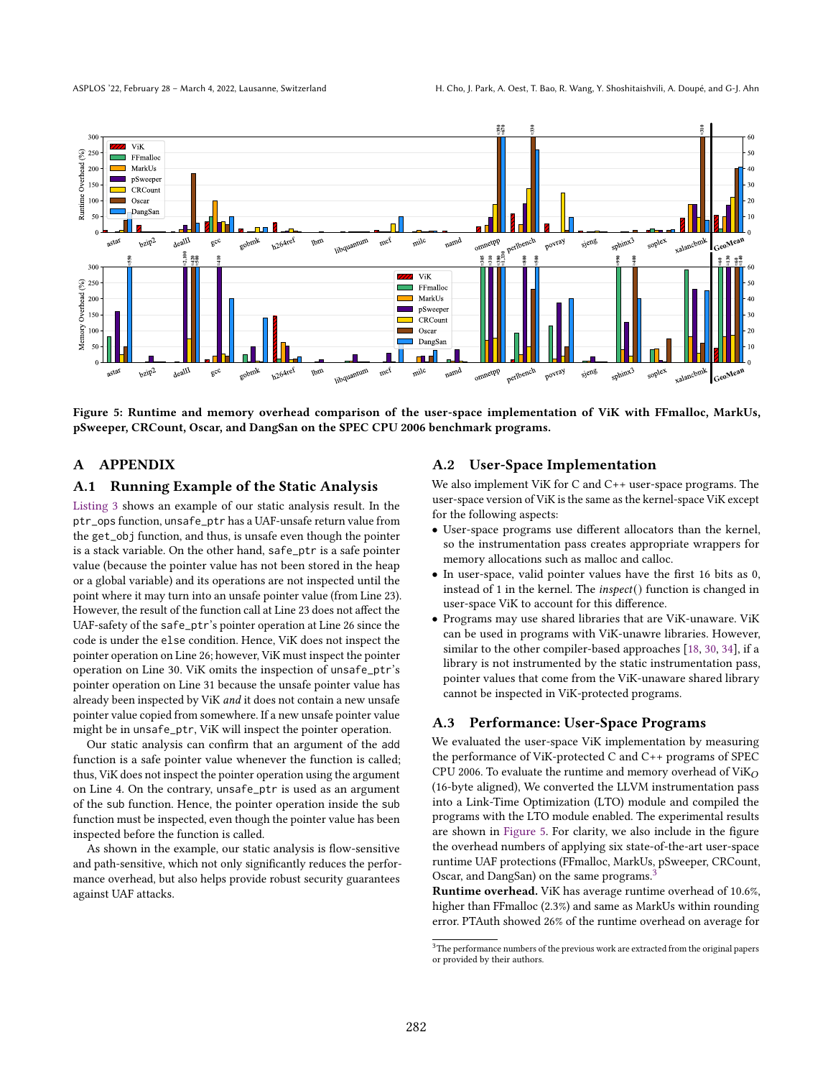<span id="page-11-0"></span>

Figure 5: Runtime and memory overhead comparison of the user-space implementation of ViK with FFmalloc, MarkUs, pSweeper, CRCount, Oscar, and DangSan on the SPEC CPU 2006 benchmark programs.

# A APPENDIX

# A.1 Running Example of the Static Analysis

[Listing 3](#page-12-20) shows an example of our static analysis result. In the ptr\_ops function, unsafe\_ptr has a UAF-unsafe return value from the get\_obj function, and thus, is unsafe even though the pointer is a stack variable. On the other hand, safe\_ptr is a safe pointer value (because the pointer value has not been stored in the heap or a global variable) and its operations are not inspected until the point where it may turn into an unsafe pointer value (from Line 23). However, the result of the function call at Line 23 does not affect the UAF-safety of the safe\_ptr's pointer operation at Line 26 since the code is under the else condition. Hence, ViK does not inspect the pointer operation on Line 26; however, ViK must inspect the pointer operation on Line 30. ViK omits the inspection of unsafe\_ptr's pointer operation on Line 31 because the unsafe pointer value has already been inspected by ViK and it does not contain a new unsafe pointer value copied from somewhere. If a new unsafe pointer value might be in unsafe\_ptr, ViK will inspect the pointer operation.

Our static analysis can confirm that an argument of the add function is a safe pointer value whenever the function is called; thus, ViK does not inspect the pointer operation using the argument on Line 4. On the contrary, unsafe\_ptr is used as an argument of the sub function. Hence, the pointer operation inside the sub function must be inspected, even though the pointer value has been inspected before the function is called.

As shown in the example, our static analysis is flow-sensitive and path-sensitive, which not only significantly reduces the performance overhead, but also helps provide robust security guarantees against UAF attacks.

# A.2 User-Space Implementation

We also implement ViK for C and C++ user-space programs. The user-space version of ViK is the same as the kernel-space ViK except for the following aspects:

- User-space programs use different allocators than the kernel, so the instrumentation pass creates appropriate wrappers for memory allocations such as malloc and calloc.
- In user-space, valid pointer values have the first 16 bits as 0, instead of 1 in the kernel. The inspect() function is changed in user-space ViK to account for this difference.
- Programs may use shared libraries that are ViK-unaware. ViK can be used in programs with ViK-unawre libraries. However, similar to the other compiler-based approaches [\[18,](#page-12-4) [30,](#page-13-7) [34\]](#page-13-8), if a library is not instrumented by the static instrumentation pass, pointer values that come from the ViK-unaware shared library cannot be inspected in ViK-protected programs.

# A.3 Performance: User-Space Programs

We evaluated the user-space ViK implementation by measuring the performance of ViK-protected C and C++ programs of SPEC CPU 2006. To evaluate the runtime and memory overhead of  $ViK<sub>O</sub>$ (16-byte aligned), We converted the LLVM instrumentation pass into a Link-Time Optimization (LTO) module and compiled the programs with the LTO module enabled. The experimental results are shown in [Figure 5.](#page-11-0) For clarity, we also include in the figure the overhead numbers of applying six state-of-the-art user-space runtime UAF protections (FFmalloc, MarkUs, pSweeper, CRCount, Oscar, and DangSan) on the same programs.<sup>[3](#page-11-1)</sup>

Runtime overhead. ViK has average runtime overhead of 10.6%, higher than FFmalloc (2.3%) and same as MarkUs within rounding error. PTAuth showed 26% of the runtime overhead on average for

<span id="page-11-1"></span> ${\rm ^3The}$  performance numbers of the previous work are extracted from the original papers or provided by their authors.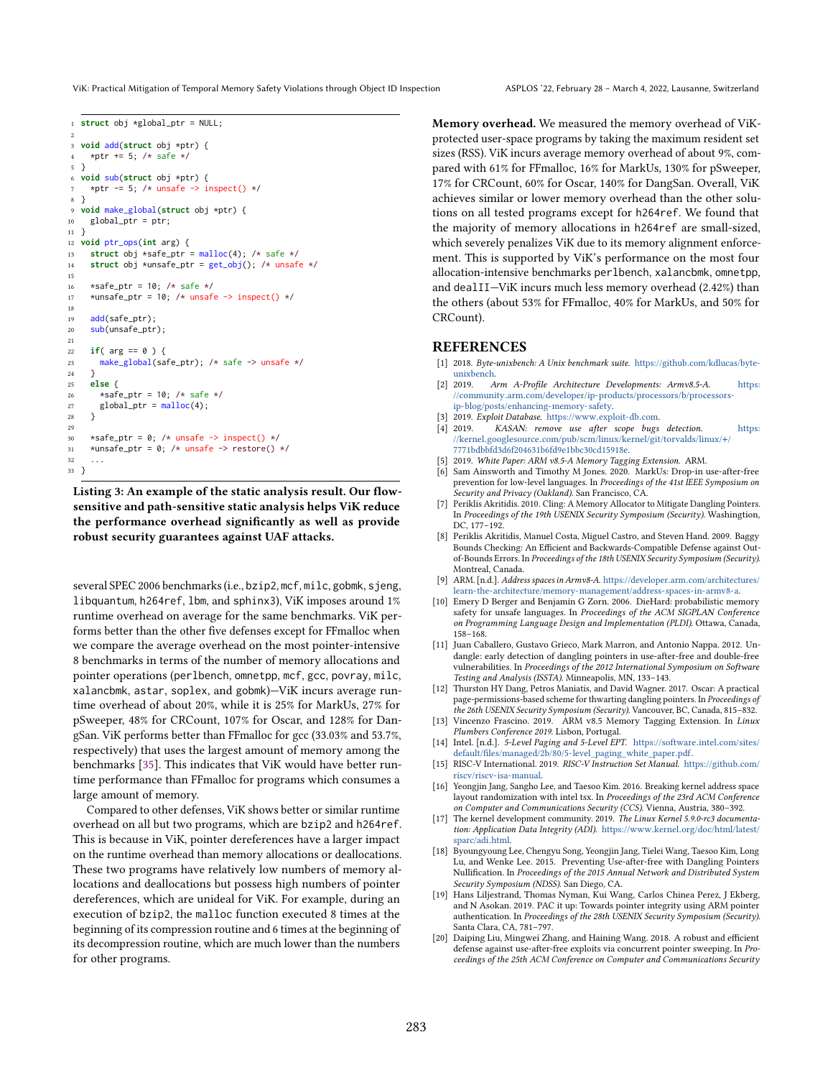ViK: Practical Mitigation of Temporal Memory Safety Violations through Object ID Inspection ASPLOS '22, February 28 - March 4, 2022, Lausanne, Switzerland

```
1 struct obj *global ptr = NULL;
 2
3 void add(struct obj *ptr) {
    *ptr += 5; /* safe */
5 }
6 void sub(struct obj *ptr) {
    *ptr -= 5; /* unsafe -> inspect() */
8 }
9 void make_global(struct obj *ptr) {
10 global_ptr = ptr;
11 }
12 void ptr_ops(int arg) {
13 struct obj *safe_ptr = malloc(4); /* safe */
14 struct obj *unsafe_ptr = get_obj(); /* unsafe */
15
16 \starsafe_ptr = 10; /* safe */
17 *unsafe_ptr = 10; /* unsafe -> inspect() */
18
19 add(safe_ptr);
20 sub(unsafe_ptr);
21
22 if( arg == 0 ) {
23 make_global(safe_ptr); /* safe -> unsafe */
24 }
25 else {
26 *safe_ptr = 10; /* safe */
27 global_ptr = malloc(4);
28 }
29
30 *safe ptr = 0: /* unsafe \rightarrow inspect() */
31 *unsafe_ptr = 0; /* unsafe -> restore() */
32 ...
33 }
```
Listing 3: An example of the static analysis result. Our flowsensitive and path-sensitive static analysis helps ViK reduce the performance overhead significantly as well as provide robust security guarantees against UAF attacks.

several SPEC 2006 benchmarks (i.e., bzip2, mcf, milc, gobmk, sjeng, libquantum, h264ref, lbm, and sphinx3), ViK imposes around 1% runtime overhead on average for the same benchmarks. ViK performs better than the other five defenses except for FFmalloc when we compare the average overhead on the most pointer-intensive 8 benchmarks in terms of the number of memory allocations and pointer operations (perlbench, omnetpp, mcf, gcc, povray, milc, xalancbmk, astar, soplex, and gobmk)-ViK incurs average runtime overhead of about 20%, while it is 25% for MarkUs, 27% for pSweeper, 48% for CRCount, 107% for Oscar, and 128% for DangSan. ViK performs better than FFmalloc for gcc (33.03% and 53.7%, respectively) that uses the largest amount of memory among the benchmarks [\[35\]](#page-13-3). This indicates that ViK would have better runtime performance than FFmalloc for programs which consumes a large amount of memory.

Compared to other defenses, ViK shows better or similar runtime overhead on all but two programs, which are bzip2 and h264ref. This is because in ViK, pointer dereferences have a larger impact on the runtime overhead than memory allocations or deallocations. These two programs have relatively low numbers of memory allocations and deallocations but possess high numbers of pointer dereferences, which are unideal for ViK. For example, during an execution of bzip2, the malloc function executed 8 times at the beginning of its compression routine and 6 times at the beginning of its decompression routine, which are much lower than the numbers for other programs.

Memory overhead. We measured the memory overhead of ViKprotected user-space programs by taking the maximum resident set sizes (RSS). ViK incurs average memory overhead of about 9%, compared with 61% for FFmalloc, 16% for MarkUs, 130% for pSweeper, 17% for CRCount, 60% for Oscar, 140% for DangSan. Overall, ViK achieves similar or lower memory overhead than the other solutions on all tested programs except for h264ref. We found that the majority of memory allocations in h264ref are small-sized, which severely penalizes ViK due to its memory alignment enforcement. This is supported by ViK's performance on the most four allocation-intensive benchmarks perlbench, xalancbmk, omnetpp, and dealII–ViK incurs much less memory overhead  $(2.42%)$  than the others (about 53% for FFmalloc, 40% for MarkUs, and 50% for CRCount).

# **REFERENCES**

- <span id="page-12-19"></span>[1] 2018. Byte-unixbench: A Unix benchmark suite. https://github.[com/kdlucas/byte](https://github.com/kdlucas/byte-unixbench)[unixbench.](https://github.com/kdlucas/byte-unixbench)
- <span id="page-12-12"></span>[2] 2019. Arm A-Profile Architecture Developments: Armv8.5-A. [https:](https://community.arm.com/developer/ip-products/processors/b/processors-ip-blog/posts/enhancing-memory-safety) //community.arm.[com/developer/ip-products/processors/b/processors](https://community.arm.com/developer/ip-products/processors/b/processors-ip-blog/posts/enhancing-memory-safety)[ip-blog/posts/enhancing-memory-safety.](https://community.arm.com/developer/ip-products/processors/b/processors-ip-blog/posts/enhancing-memory-safety)
- <span id="page-12-18"></span>[3] 2019. Exploit Database. [https://www](https://www.exploit-db.com).exploit-db.com.<br>[4] 2019. KASAN: remove use after scope bugs.
- <span id="page-12-16"></span>KASAN: remove use after scope bugs detection. [https:](https://kernel.googlesource.com/pub/scm/linux/kernel/git/torvalds/linux/+/7771bdbbfd3d6f204631b6fd9e1bbc30cd15918e) //kernel.googlesource.[com/pub/scm/linux/kernel/git/torvalds/linux/](https://kernel.googlesource.com/pub/scm/linux/kernel/git/torvalds/linux/+/7771bdbbfd3d6f204631b6fd9e1bbc30cd15918e)+/ [7771bdbbfd3d6f204631b6fd9e1bbc30cd15918e.](https://kernel.googlesource.com/pub/scm/linux/kernel/git/torvalds/linux/+/7771bdbbfd3d6f204631b6fd9e1bbc30cd15918e)
- <span id="page-12-13"></span>[5] 2019. White Paper: ARM v8.5-A Memory Tagging Extension. ARM.
- <span id="page-12-0"></span>[6] Sam Ainsworth and Timothy M Jones. 2020. MarkUs: Drop-in use-after-free prevention for low-level languages. In Proceedings of the 41st IEEE Symposium on Security and Privacy (Oakland). San Francisco, CA.
- <span id="page-12-1"></span>[7] Periklis Akritidis. 2010. Cling: A Memory Allocator to Mitigate Dangling Pointers. In Proceedings of the 19th USENIX Security Symposium (Security). Washingtion, DC, 177-192.
- <span id="page-12-6"></span>[8] Periklis Akritidis, Manuel Costa, Miguel Castro, and Steven Hand. 2009. Baggy Bounds Checking: An Efficient and Backwards-Compatible Defense against Outof-Bounds Errors. In Proceedings of the 18th USENIX Security Symposium (Security). Montreal, Canada.
- <span id="page-12-8"></span>[9] ARM. [n.d.]. Address spaces in Armv8-A. https://developer.arm.[com/architectures/](https://developer.arm.com/architectures/learn-the-architecture/memory-management/address-spaces-in-armv8-a) [learn-the-architecture/memory-management/address-spaces-in-armv8-a.](https://developer.arm.com/architectures/learn-the-architecture/memory-management/address-spaces-in-armv8-a)
- <span id="page-12-7"></span>[10] Emery D Berger and Benjamin G Zorn. 2006. DieHard: probabilistic memory safety for unsafe languages. In Proceedings of the ACM SIGPLAN Conference on Programming Language Design and Implementation (PLDI). Ottawa, Canada,  $158 - 168$
- <span id="page-12-3"></span>[11] Juan Caballero, Gustavo Grieco, Mark Marron, and Antonio Nappa. 2012. Undangle: early detection of dangling pointers in use-after-free and double-free vulnerabilities. In Proceedings of the 2012 International Symposium on Software Testing and Analysis (ISSTA). Minneapolis, MN, 133-143.
- <span id="page-12-2"></span>[12] Thurston HY Dang, Petros Maniatis, and David Wagner. 2017. Oscar: A practical page-permissions-based scheme for thwarting dangling pointers. In Proceedings of the 26th USENIX Security Symposium (Security). Vancouver, BC, Canada, 815-832.
- <span id="page-12-15"></span>[13] Vincenzo Frascino. 2019. ARM v8.5 Memory Tagging Extension. In Linux Plumbers Conference 2019. Lisbon, Portugal.
- <span id="page-12-9"></span>[14] Intel. [n.d.]. 5-Level Paging and 5-Level EPT. [https://software](https://software.intel.com/sites/default/files/managed/2b/80/5-level_paging_white_paper.pdf).intel.com/sites/ [default/files/managed/2b/80/5-level\\_paging\\_white\\_paper](https://software.intel.com/sites/default/files/managed/2b/80/5-level_paging_white_paper.pdf).pdf.
- <span id="page-12-10"></span>[15] RISC-V International. 2019. RISC-V Instruction Set Manual. [https://github](https://github.com/riscv/riscv-isa-manual).com/ [riscv/riscv-isa-manual.](https://github.com/riscv/riscv-isa-manual)
- <span id="page-12-17"></span>[16] Yeongjin Jang, Sangho Lee, and Taesoo Kim. 2016. Breaking kernel address space layout randomization with intel tsx. In Proceedings of the 23rd ACM Conference on Computer and Communications Security (CCS). Vienna, Austria, 380-392.
- <span id="page-12-14"></span>[17] The kernel development community. 2019. The Linux Kernel 5.9.0-rc3 documentation: Application Data Integrity (ADI). https://www.kernel.[org/doc/html/latest/](https://www.kernel.org/doc/html/latest/sparc/adi.html) [sparc/adi](https://www.kernel.org/doc/html/latest/sparc/adi.html).html.
- <span id="page-12-4"></span>[18] Byoungyoung Lee, Chengyu Song, Yeongjin Jang, Tielei Wang, Taesoo Kim, Long Lu, and Wenke Lee. 2015. Preventing Use-after-free with Dangling Pointers Nullification. In Proceedings of the 2015 Annual Network and Distributed System Security Symposium (NDSS). San Diego, CA.
- <span id="page-12-11"></span>[19] Hans Liljestrand, Thomas Nyman, Kui Wang, Carlos Chinea Perez, J Ekberg, and N Asokan. 2019. PAC it up: Towards pointer integrity using ARM pointer authentication. In Proceedings of the 28th USENIX Security Symposium (Security). Santa Clara, CA, 781-797.
- <span id="page-12-5"></span>[20] Daiping Liu, Mingwei Zhang, and Haining Wang. 2018. A robust and efficient defense against use-after-free exploits via concurrent pointer sweeping. In Proceedings of the 25th ACM Conference on Computer and Communications Security